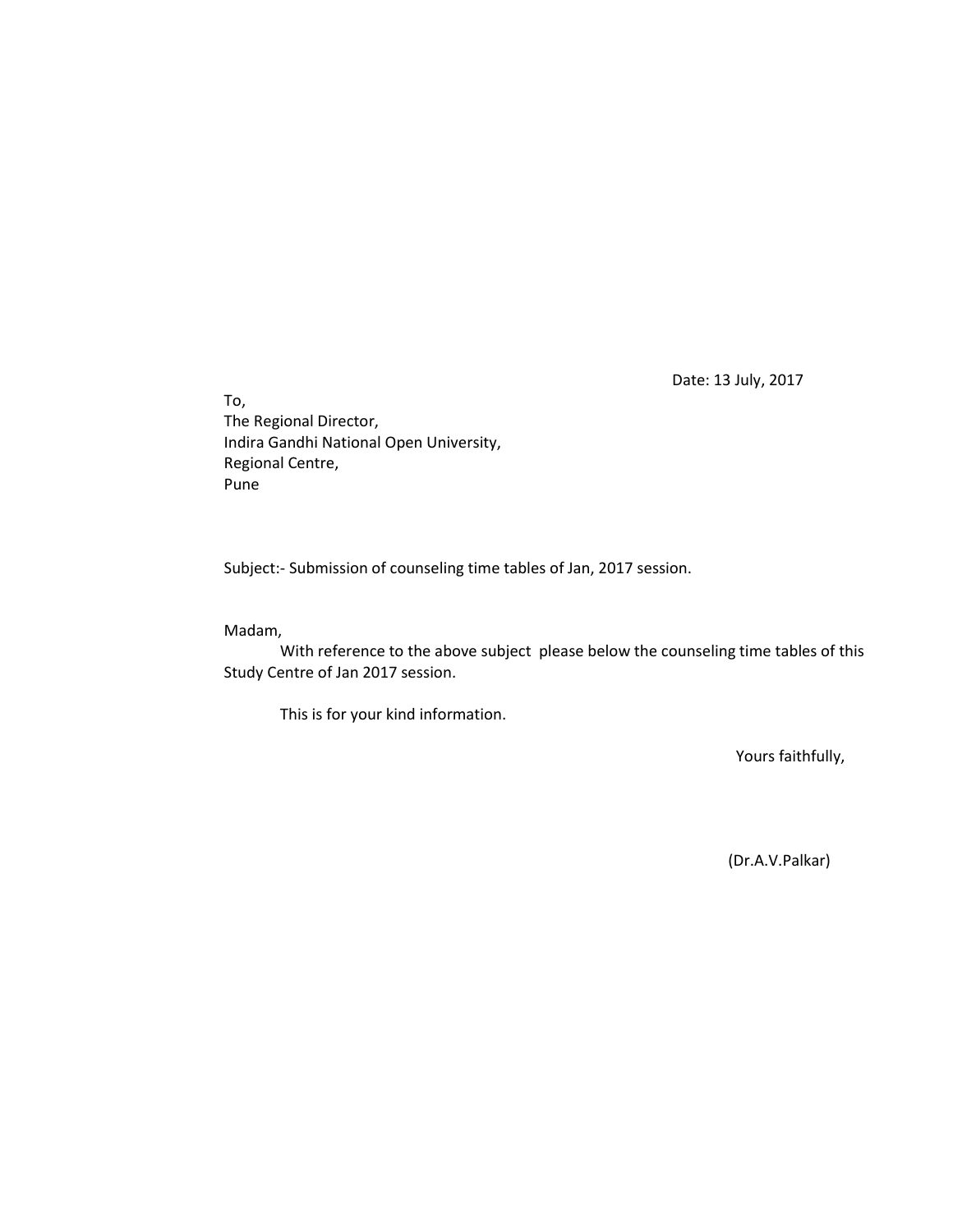Date: 13 July, 2017

To, The Regional Director, Indira Gandhi National Open University, Regional Centre, Pune

Subject:- Submission of counseling time tables of Jan, 2017 session.

#### Madam,

With reference to the above subject please below the counseling time tables of this Study Centre of Jan 2017 session.

This is for your kind information.

Yours faithfully,

(Dr.A.V.Palkar)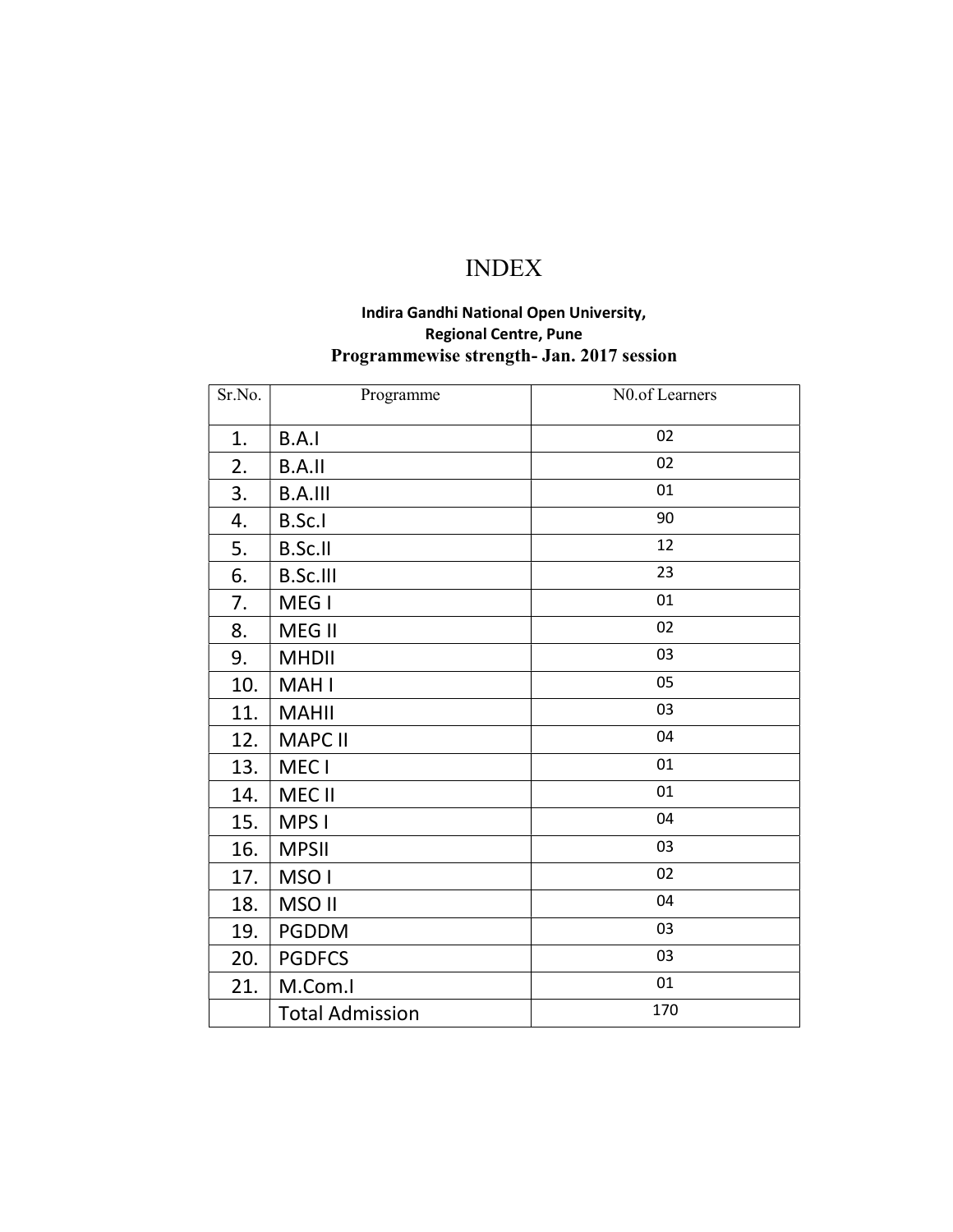# INDEX

# Indira Gandhi National Open University, Regional Centre, Pune Programmewise strength- Jan. 2017 session

| Sr.No. | Programme              | N0.of Learners |
|--------|------------------------|----------------|
| 1.     | B.A.I                  | 02             |
| 2.     | <b>B.A.II</b>          | 02             |
| 3.     | <b>B.A.III</b>         | 01             |
| 4.     | B.Sc.I                 | 90             |
| 5.     | <b>B.Sc.II</b>         | 12             |
| 6.     | <b>B.Sc.III</b>        | 23             |
| 7.     | MEG I                  | 01             |
| 8.     | MEG II                 | 02             |
| 9.     | <b>MHDII</b>           | 03             |
| 10.    | <b>MAHI</b>            | 05             |
| 11.    | <b>MAHII</b>           | 03             |
| 12.    | <b>MAPC II</b>         | 04             |
| 13.    | MEC I                  | 01             |
| 14.    | MEC II                 | 01             |
| 15.    | MPS I                  | 04             |
| 16.    | <b>MPSII</b>           | 03             |
| 17.    | MSO <sub>I</sub>       | 02             |
| 18.    | MSO II                 | 04             |
| 19.    | <b>PGDDM</b>           | 03             |
| 20.    | <b>PGDFCS</b>          | 03             |
| 21.    | M.Com.I                | 01             |
|        | <b>Total Admission</b> | 170            |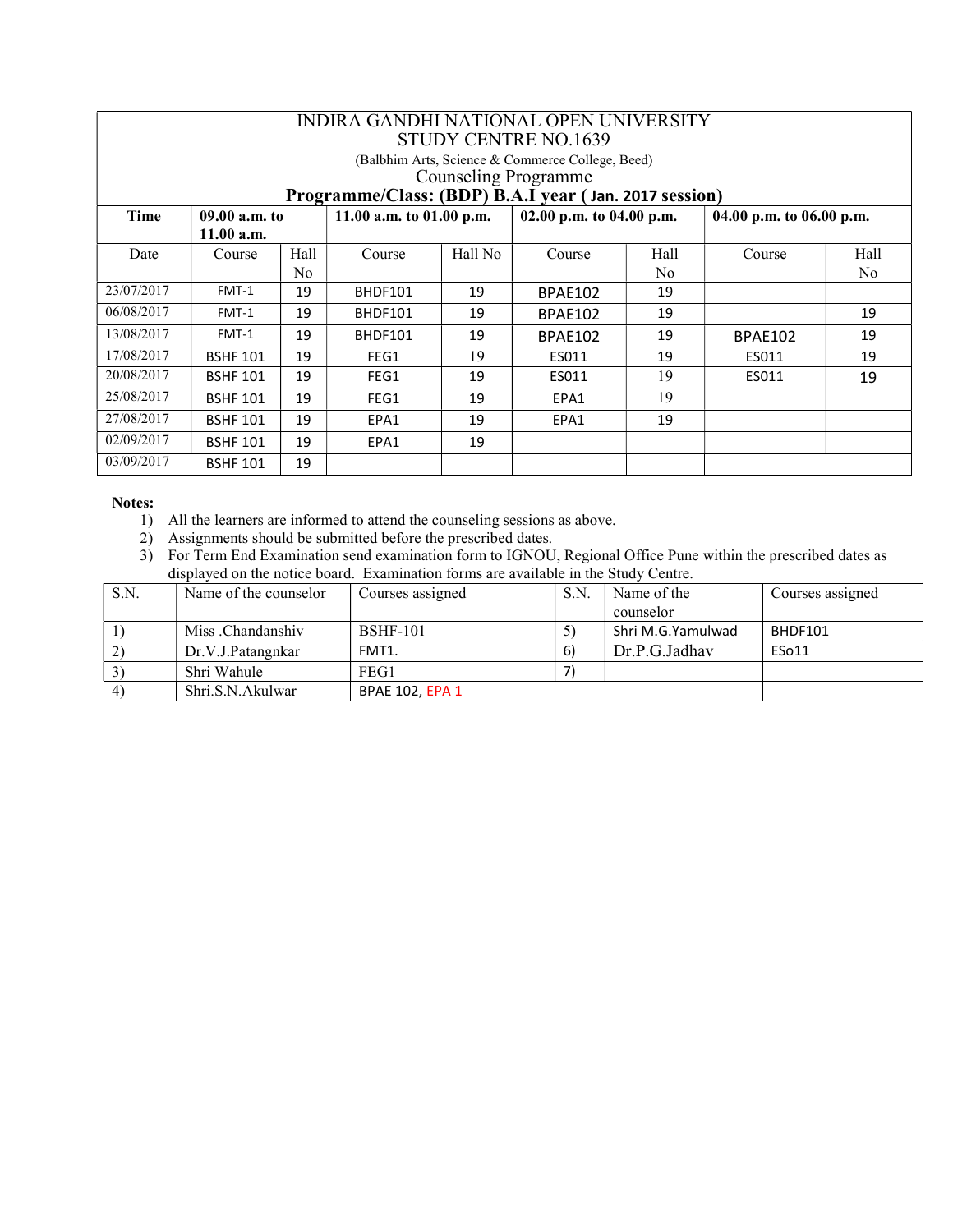|                                                       | INDIRA GANDHI NATIONAL OPEN UNIVERSITY<br>STUDY CENTRE NO.1639 |                |                            |         |                          |      |                          |                |  |  |  |
|-------------------------------------------------------|----------------------------------------------------------------|----------------|----------------------------|---------|--------------------------|------|--------------------------|----------------|--|--|--|
| (Balbhim Arts, Science & Commerce College, Beed)      |                                                                |                |                            |         |                          |      |                          |                |  |  |  |
| <b>Counseling Programme</b>                           |                                                                |                |                            |         |                          |      |                          |                |  |  |  |
| Programme/Class: (BDP) B.A.I year (Jan. 2017 session) |                                                                |                |                            |         |                          |      |                          |                |  |  |  |
| <b>Time</b>                                           | 09.00 a.m. to                                                  |                | 11.00 a.m. to $01.00$ p.m. |         | 02.00 p.m. to 04.00 p.m. |      | 04.00 p.m. to 06.00 p.m. |                |  |  |  |
|                                                       | 11.00 a.m.                                                     |                |                            |         |                          |      |                          |                |  |  |  |
| Date                                                  | Course                                                         | Hall           | Course                     | Hall No | Course                   | Hall | Course                   | Hall           |  |  |  |
|                                                       |                                                                | N <sub>0</sub> |                            |         |                          | No   |                          | N <sub>0</sub> |  |  |  |
| 23/07/2017                                            | FMT-1                                                          | 19             | BHDF101                    | 19      | BPAE102                  | 19   |                          |                |  |  |  |
| 06/08/2017                                            | FMT-1                                                          | 19             | <b>BHDF101</b>             | 19      | BPAE102                  | 19   |                          | 19             |  |  |  |
| 13/08/2017                                            | FMT-1                                                          | 19             | <b>BHDF101</b>             | 19      | BPAE102                  | 19   | <b>BPAE102</b>           | 19             |  |  |  |
| 17/08/2017                                            | <b>BSHF 101</b>                                                | 19             | FEG1                       | 19      | ES011                    | 19   | ES011                    | 19             |  |  |  |
| 20/08/2017                                            | <b>BSHF 101</b>                                                | 19             | FEG1                       | 19      | ES011                    | 19   | ES011                    | 19             |  |  |  |
| 25/08/2017                                            | <b>BSHF 101</b>                                                | 19             | FEG1                       | 19      | EPA1                     | 19   |                          |                |  |  |  |
| 27/08/2017                                            | <b>BSHF 101</b>                                                | 19             | EPA1                       | 19      | EPA1                     | 19   |                          |                |  |  |  |
| 02/09/2017                                            | <b>BSHF 101</b>                                                | 19             | EPA1                       | 19      |                          |      |                          |                |  |  |  |
| 03/09/2017                                            | <b>BSHF 101</b>                                                | 19             |                            |         |                          |      |                          |                |  |  |  |

- 1) All the learners are informed to attend the counseling sessions as above.
- 2) Assignments should be submitted before the prescribed dates.
- 3) For Term End Examination send examination form to IGNOU, Regional Office Pune within the prescribed dates as displayed on the notice board. Examination forms are available in the Study Centre.

| S.N.             | Name of the counselor | Courses assigned       | S.N. | Name of the       | Courses assigned |
|------------------|-----------------------|------------------------|------|-------------------|------------------|
|                  |                       |                        |      | counselor         |                  |
|                  | Miss .Chandanshiv     | <b>BSHF-101</b>        |      | Shri M.G.Yamulwad | BHDF101          |
|                  | Dr.V.J.Patangnkar     | FMT1.                  | 6)   | Dr.P.G.Jadhav     | ESo11            |
|                  | Shri Wahule           | FEG1                   |      |                   |                  |
| $\left(4\right)$ | Shri.S.N.Akulwar      | <b>BPAE 102, EPA 1</b> |      |                   |                  |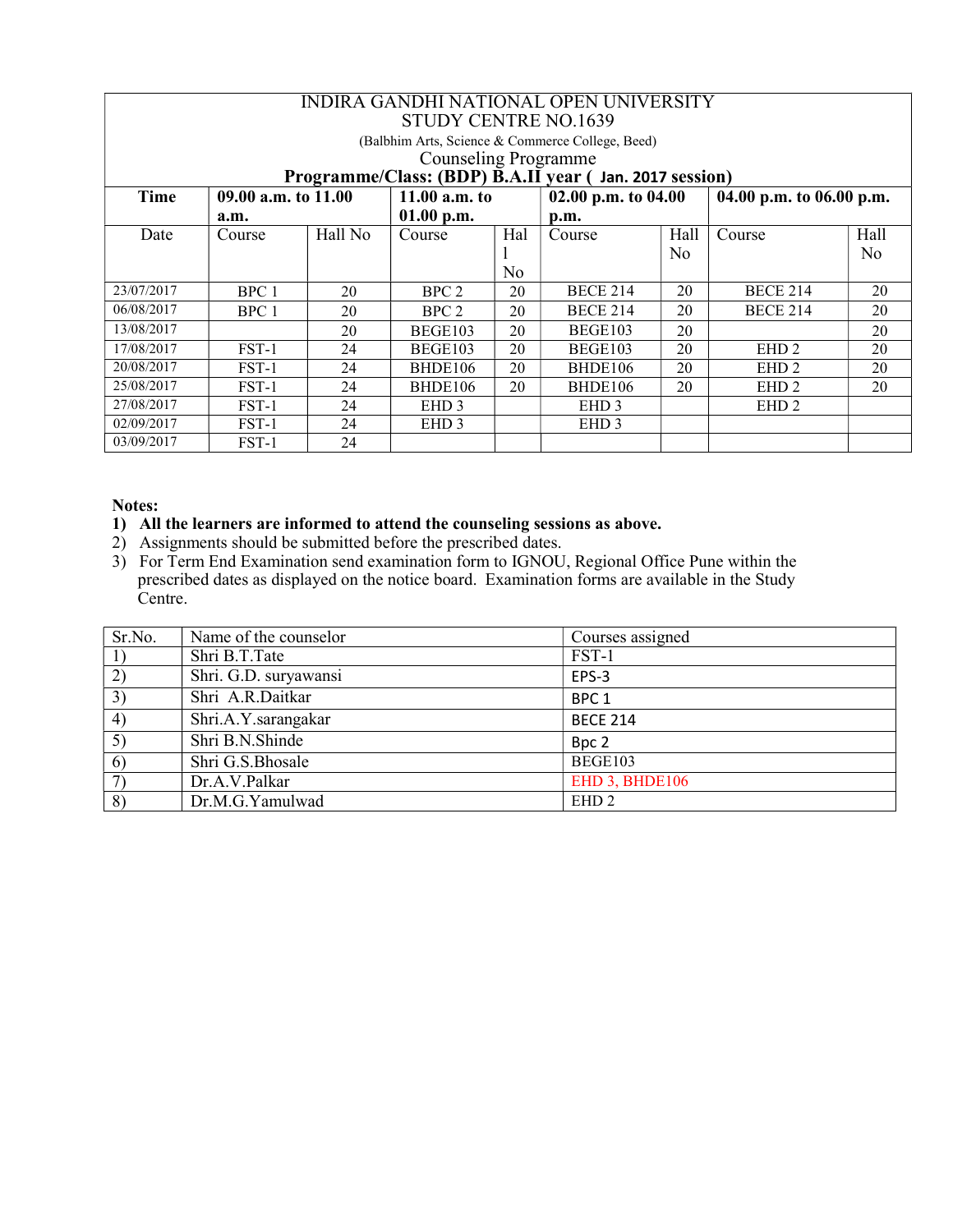|            | INDIRA GANDHI NATIONAL OPEN UNIVERSITY<br><b>STUDY CENTRE NO.1639</b> |                 |                             |                     |                                                  |                          |                  |                |  |  |
|------------|-----------------------------------------------------------------------|-----------------|-----------------------------|---------------------|--------------------------------------------------|--------------------------|------------------|----------------|--|--|
|            |                                                                       |                 |                             |                     | (Balbhim Arts, Science & Commerce College, Beed) |                          |                  |                |  |  |
|            |                                                                       |                 | <b>Counseling Programme</b> |                     |                                                  |                          |                  |                |  |  |
|            | Programme/Class: (BDP) B.A.II year (Jan. 2017 session)                |                 |                             |                     |                                                  |                          |                  |                |  |  |
| Time       | 09.00 a.m. to 11.00                                                   | 11.00 $a.m. to$ |                             | 02.00 p.m. to 04.00 |                                                  | 04.00 p.m. to 06.00 p.m. |                  |                |  |  |
|            | a.m.                                                                  |                 | 01.00 p.m.                  |                     | p.m.                                             |                          |                  |                |  |  |
| Date       | Course                                                                | Hall No         | Course                      | Hal                 | Course                                           | Hall                     | Course           | Hall           |  |  |
|            |                                                                       |                 |                             |                     |                                                  | N <sub>0</sub>           |                  | N <sub>o</sub> |  |  |
|            |                                                                       |                 |                             | No                  |                                                  |                          |                  |                |  |  |
| 23/07/2017 | BPC 1                                                                 | 20              | BPC 2                       | 20                  | <b>BECE 214</b>                                  | 20                       | <b>BECE 214</b>  | 20             |  |  |
| 06/08/2017 | BPC 1                                                                 | 20              | BPC 2                       | 20                  | <b>BECE 214</b>                                  | 20                       | <b>BECE 214</b>  | 20             |  |  |
| 13/08/2017 |                                                                       | 20              | BEGE103                     | 20                  | BEGE103                                          | 20                       |                  | 20             |  |  |
| 17/08/2017 | $FST-1$                                                               | 24              | BEGE103                     | 20                  | <b>BEGE103</b>                                   | 20                       | EHD <sub>2</sub> | 20             |  |  |
| 20/08/2017 | FST-1                                                                 | 24              | BHDE106                     | 20                  | BHDE106                                          | 20                       | EHD <sub>2</sub> | 20             |  |  |
| 25/08/2017 | FST-1                                                                 | 24              | BHDE106                     | 20                  | BHDE106                                          | 20                       | EHD <sub>2</sub> | 20             |  |  |
| 27/08/2017 | FST-1                                                                 | 24              | EHD <sub>3</sub>            |                     | EHD <sub>3</sub>                                 |                          | EHD <sub>2</sub> |                |  |  |
| 02/09/2017 | $FST-1$                                                               | 24              | EHD <sub>3</sub>            |                     | EHD <sub>3</sub>                                 |                          |                  |                |  |  |
| 03/09/2017 | $FST-1$                                                               | 24              |                             |                     |                                                  |                          |                  |                |  |  |

# 1) All the learners are informed to attend the counseling sessions as above.

- 2) Assignments should be submitted before the prescribed dates.
- 3) For Term End Examination send examination form to IGNOU, Regional Office Pune within the prescribed dates as displayed on the notice board. Examination forms are available in the Study Centre.

| Sr.No. | Name of the counselor | Courses assigned |
|--------|-----------------------|------------------|
|        | Shri B.T.Tate         | FST-1            |
| 2)     | Shri. G.D. suryawansi | EPS-3            |
| 3)     | Shri A.R.Daitkar      | BPC <sub>1</sub> |
| 4)     | Shri.A.Y.sarangakar   | <b>BECE 214</b>  |
| 5)     | Shri B.N.Shinde       | Bpc 2            |
| 6)     | Shri G.S.Bhosale      | <b>BEGE103</b>   |
| 7)     | Dr.A.V.Palkar         | EHD 3, BHDE106   |
| 8)     | Dr.M.G.Yamulwad       | EHD <sub>2</sub> |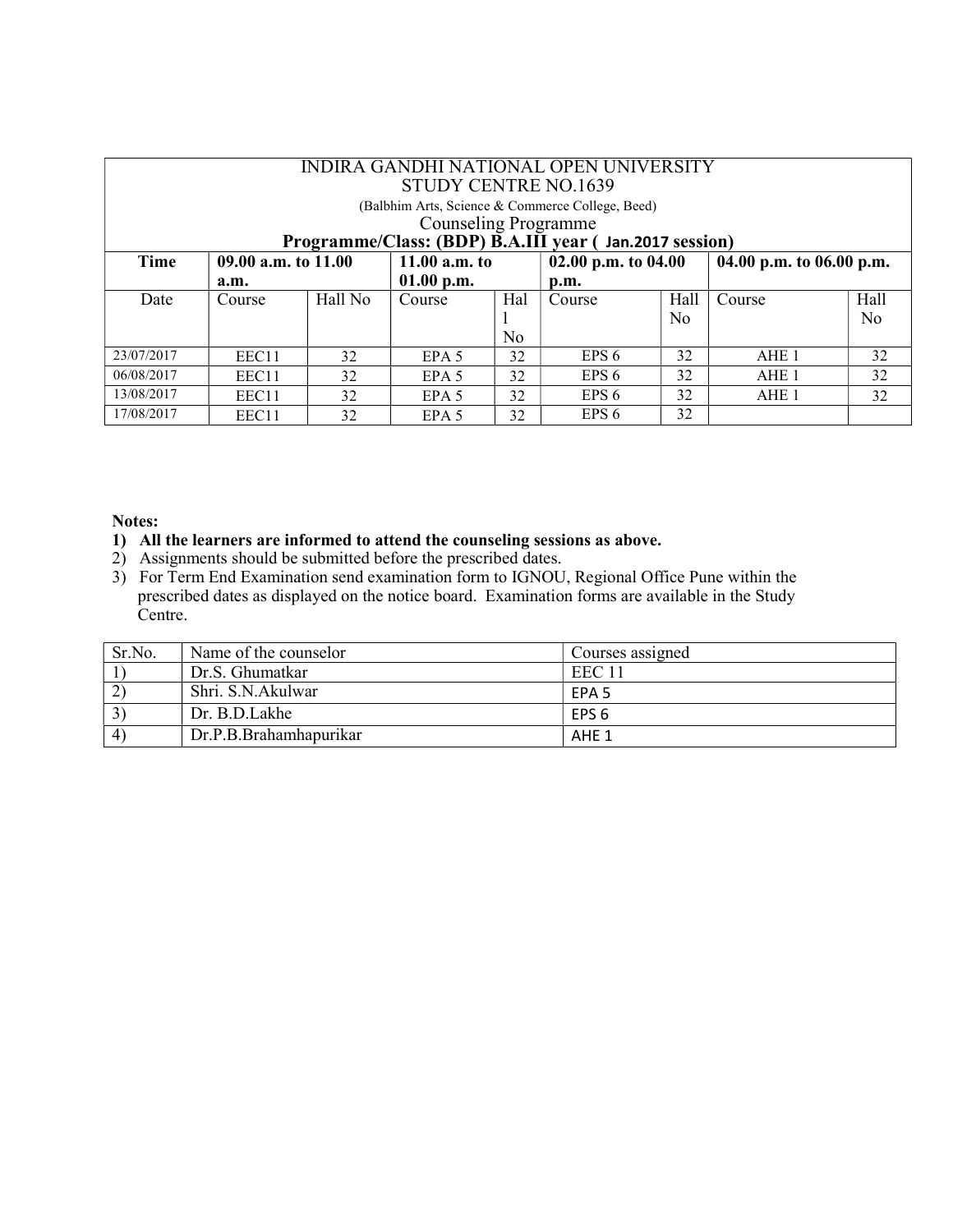|            | INDIRA GANDHI NATIONAL OPEN UNIVERSITY<br>STUDY CENTRE NO.1639                        |         |                  |                |                       |      |                          |                |  |  |
|------------|---------------------------------------------------------------------------------------|---------|------------------|----------------|-----------------------|------|--------------------------|----------------|--|--|
|            | (Balbhim Arts, Science & Commerce College, Beed)                                      |         |                  |                |                       |      |                          |                |  |  |
|            | <b>Counseling Programme</b><br>Programme/Class: (BDP) B.A.III year (Jan.2017 session) |         |                  |                |                       |      |                          |                |  |  |
| Time       | 09.00 a.m. to 11.00                                                                   |         | 11.00 $a.m.$ to  |                | 02.00 p.m. to $04.00$ |      | 04.00 p.m. to 06.00 p.m. |                |  |  |
|            | a.m.                                                                                  |         | $01.00$ p.m.     |                | p.m.                  |      |                          |                |  |  |
| Date       | Course                                                                                | Hall No | Course           | Hal            | Course                | Hall | Course                   | Hall           |  |  |
|            |                                                                                       |         |                  |                |                       | No   |                          | N <sub>0</sub> |  |  |
|            |                                                                                       |         |                  | N <sub>0</sub> |                       |      |                          |                |  |  |
| 23/07/2017 | EEC11                                                                                 | 32      | EPA <sub>5</sub> | 32             | EPS <sub>6</sub>      | 32   | AHE 1                    | 32             |  |  |
| 06/08/2017 | EEC11                                                                                 | 32      | EPA <sub>5</sub> | 32             | EPS 6                 | 32   | AHE 1                    | 32             |  |  |
| 13/08/2017 | EEC11                                                                                 | 32      | EPA <sub>5</sub> | 32             | EPS <sub>6</sub>      | 32   | AHE 1                    | 32             |  |  |
| 17/08/2017 | EEC11                                                                                 | 32      | EPA <sub>5</sub> | 32             | EPS <sub>6</sub>      | 32   |                          |                |  |  |

#### 1) All the learners are informed to attend the counseling sessions as above.

- 2) Assignments should be submitted before the prescribed dates.
- 3) For Term End Examination send examination form to IGNOU, Regional Office Pune within the prescribed dates as displayed on the notice board. Examination forms are available in the Study Centre.

| Sr.No.               | Name of the counselor  | Courses assigned |
|----------------------|------------------------|------------------|
|                      | Dr.S. Ghumatkar        | EEC 11           |
| $2^{\circ}$          | Shri. S.N.Akulwar      | EPA 5            |
| $\mathcal{L}$        | Dr. B.D.Lakhe          | EPS 6            |
| $\mathbf{4}^{\circ}$ | Dr.P.B.Brahamhapurikar | AHE 1            |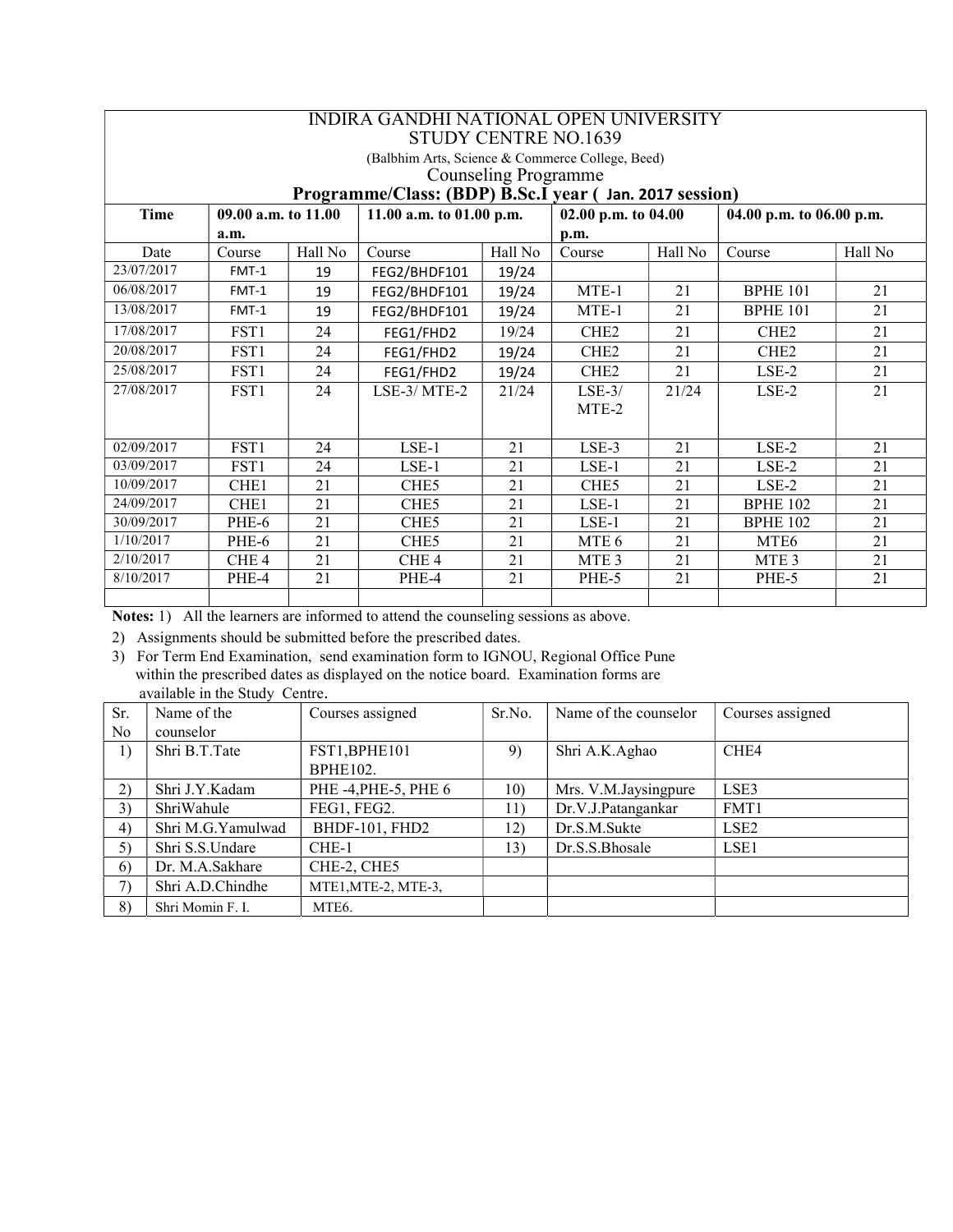|                             | INDIRA GANDHI NATIONAL OPEN UNIVERSITY<br><b>STUDY CENTRE NO.1639</b>                                  |         |                                                  |         |                  |         |                  |         |  |  |  |
|-----------------------------|--------------------------------------------------------------------------------------------------------|---------|--------------------------------------------------|---------|------------------|---------|------------------|---------|--|--|--|
|                             |                                                                                                        |         | (Balbhim Arts, Science & Commerce College, Beed) |         |                  |         |                  |         |  |  |  |
| <b>Counseling Programme</b> |                                                                                                        |         |                                                  |         |                  |         |                  |         |  |  |  |
|                             | Programme/Class: (BDP) B.Sc.I year (Jan. 2017 session)                                                 |         |                                                  |         |                  |         |                  |         |  |  |  |
| <b>Time</b>                 | 11.00 a.m. to 01.00 p.m.<br>02.00 p.m. to 04.00<br>$09.00$ a.m. to $11.00$<br>04.00 p.m. to 06.00 p.m. |         |                                                  |         |                  |         |                  |         |  |  |  |
|                             | a.m.                                                                                                   |         |                                                  |         | p.m.             |         |                  |         |  |  |  |
| Date                        | Course                                                                                                 | Hall No | Course                                           | Hall No | Course           | Hall No | Course           | Hall No |  |  |  |
| 23/07/2017                  | FMT-1                                                                                                  | 19      | FEG2/BHDF101                                     | 19/24   |                  |         |                  |         |  |  |  |
| 06/08/2017                  | FMT-1                                                                                                  | 19      | FEG2/BHDF101                                     | 19/24   | MTE-1            | 21      | <b>BPHE 101</b>  | 21      |  |  |  |
| 13/08/2017                  | FMT-1                                                                                                  | 19      | FEG2/BHDF101                                     | 19/24   | MTE-1            | 21      | <b>BPHE 101</b>  | 21      |  |  |  |
| 17/08/2017                  | FST <sub>1</sub>                                                                                       | 24      | FEG1/FHD2                                        | 19/24   | CHE <sub>2</sub> | 21      | CHE <sub>2</sub> | 21      |  |  |  |
| 20/08/2017                  | FST1                                                                                                   | 24      | FEG1/FHD2                                        | 19/24   | CHE <sub>2</sub> | 21      | CHE <sub>2</sub> | 21      |  |  |  |
| 25/08/2017                  | FST <sub>1</sub>                                                                                       | 24      | FEG1/FHD2                                        | 19/24   | CHE <sub>2</sub> | 21      | $LSE-2$          | 21      |  |  |  |
| 27/08/2017                  | FST <sub>1</sub>                                                                                       | 24      | $LSE-3/MTE-2$                                    | 21/24   | $LSE-3/$         | 21/24   | $LSE-2$          | 21      |  |  |  |
|                             |                                                                                                        |         |                                                  |         | MTE-2            |         |                  |         |  |  |  |
|                             |                                                                                                        |         |                                                  |         |                  |         |                  |         |  |  |  |
| 02/09/2017                  | FST <sub>1</sub>                                                                                       | 24      | $LSE-1$                                          | 21      | $LSE-3$          | 21      | LSE-2            | 21      |  |  |  |
| 03/09/2017                  | FST <sub>1</sub>                                                                                       | 24      | $LSE-1$                                          | 21      | $LSE-1$          | 21      | $LSE-2$          | 21      |  |  |  |
| 10/09/2017                  | CHE <sub>1</sub>                                                                                       | 21      | CHE <sub>5</sub>                                 | 21      | CHE <sub>5</sub> | 21      | $LSE-2$          | 21      |  |  |  |
| 24/09/2017                  | CHE <sub>1</sub>                                                                                       | 21      | CHE <sub>5</sub>                                 | 21      | LSE-1            | 21      | <b>BPHE 102</b>  | 21      |  |  |  |
| 30/09/2017                  | PHE-6                                                                                                  | 21      | CHE <sub>5</sub>                                 | 21      | $LSE-1$          | 21      | <b>BPHE 102</b>  | 21      |  |  |  |
| 1/10/2017                   | PHE-6                                                                                                  | 21      | CHE <sub>5</sub>                                 | 21      | MTE <sub>6</sub> | 21      | MTE <sub>6</sub> | 21      |  |  |  |
| 2/10/2017                   | CHE <sub>4</sub>                                                                                       | 21      | CHE <sub>4</sub>                                 | 21      | MTE <sub>3</sub> | 21      | MTE <sub>3</sub> | 21      |  |  |  |
| 8/10/2017                   | PHE-4                                                                                                  | 21      | PHE-4                                            | 21      | PHE-5            | 21      | PHE-5            | 21      |  |  |  |
|                             |                                                                                                        |         |                                                  |         |                  |         |                  |         |  |  |  |

Notes: 1) All the learners are informed to attend the counseling sessions as above.

2) Assignments should be submitted before the prescribed dates.

3) For Term End Examination, send examination form to IGNOU, Regional Office Pune within the prescribed dates as displayed on the notice board. Examination forms are available in the Study Centre.

| Sr.            | Name of the       | Courses assigned      | Sr.No. | Name of the counselor | Courses assigned |
|----------------|-------------------|-----------------------|--------|-----------------------|------------------|
| N <sub>o</sub> | counselor         |                       |        |                       |                  |
| 1)             | Shri B.T.Tate     | FST1, BPHE101         | 9)     | Shri A.K.Aghao        | CHE4             |
|                |                   | <b>BPHE102.</b>       |        |                       |                  |
| 2)             | Shri J.Y.Kadam    | PHE -4, PHE -5, PHE 6 | 10)    | Mrs. V.M.Jaysingpure  | LSE3             |
| 3)             | ShriWahule        | FEG1, FEG2.           | 11)    | Dr.V.J.Patangankar    | FMT1             |
| 4)             | Shri M.G.Yamulwad | BHDF-101, FHD2        | 12)    | Dr.S.M.Sukte          | LSE <sub>2</sub> |
| 5)             | Shri S.S.Undare   | $CHE-1$               | 13)    | Dr.S.S.Bhosale        | LSE <sub>1</sub> |
| 6)             | Dr. M.A.Sakhare   | CHE-2, CHE5           |        |                       |                  |
| 7)             | Shri A.D.Chindhe  | MTE1, MTE-2, MTE-3,   |        |                       |                  |
| 8)             | Shri Momin F. I.  | MTE <sub>6</sub> .    |        |                       |                  |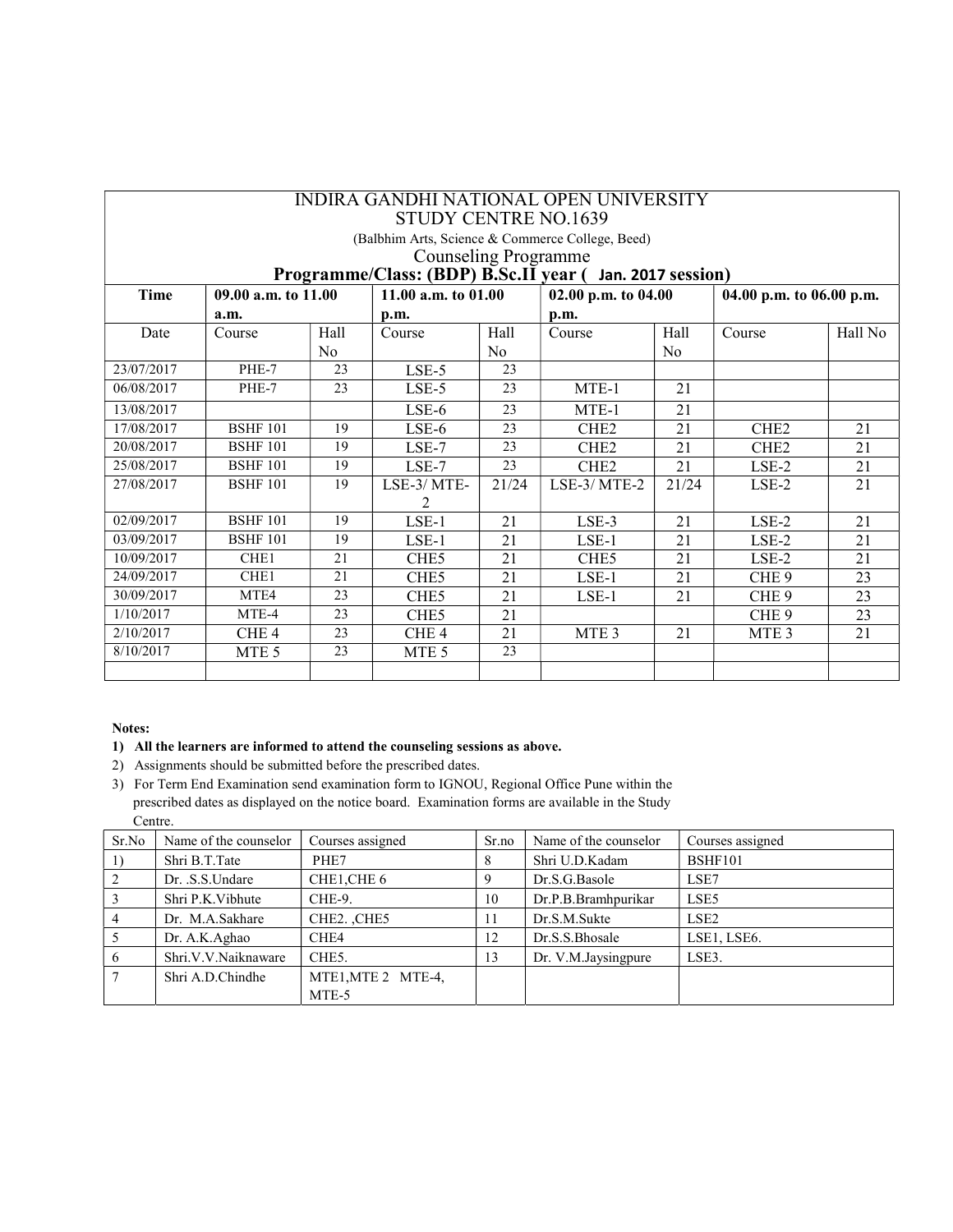|             | INDIRA GANDHI NATIONAL OPEN UNIVERSITY<br><b>STUDY CENTRE NO.1639</b>                           |      |                  |       |                                                  |                |                   |         |  |  |
|-------------|-------------------------------------------------------------------------------------------------|------|------------------|-------|--------------------------------------------------|----------------|-------------------|---------|--|--|
|             |                                                                                                 |      |                  |       | (Balbhim Arts, Science & Commerce College, Beed) |                |                   |         |  |  |
|             | <b>Counseling Programme</b>                                                                     |      |                  |       |                                                  |                |                   |         |  |  |
|             | Programme/Class: (BDP) B.Sc.II year ( Jan. 2017 session)                                        |      |                  |       |                                                  |                |                   |         |  |  |
| <b>Time</b> | 09.00 a.m. to 11.00<br>11.00 a.m. to $01.00$<br>02.00 p.m. to 04.00<br>04.00 p.m. to 06.00 p.m. |      |                  |       |                                                  |                |                   |         |  |  |
|             | a.m.                                                                                            |      | p.m.             |       | p.m.                                             |                |                   |         |  |  |
| Date        | Course                                                                                          | Hall | Course           | Hall  | Course                                           | Hall           | Course            | Hall No |  |  |
|             |                                                                                                 | No   |                  | No    |                                                  | N <sub>0</sub> |                   |         |  |  |
| 23/07/2017  | PHE-7                                                                                           | 23   | $LSE-5$          | 23    |                                                  |                |                   |         |  |  |
| 06/08/2017  | PHE-7                                                                                           | 23   | LSE-5            | 23    | MTE-1                                            | 21             |                   |         |  |  |
| 13/08/2017  |                                                                                                 |      | $LSE-6$          | 23    | MTE-1                                            | 21             |                   |         |  |  |
| 17/08/2017  | <b>BSHF 101</b>                                                                                 | 19   | $LSE-6$          | 23    | CHE <sub>2</sub>                                 | 21             | CH <sub>E</sub> 2 | 21      |  |  |
| 20/08/2017  | <b>BSHF 101</b>                                                                                 | 19   | $LSE-7$          | 23    | CHE <sub>2</sub>                                 | 21             | CHE <sub>2</sub>  | 21      |  |  |
| 25/08/2017  | <b>BSHF 101</b>                                                                                 | 19   | $LSE-7$          | 23    | CHE <sub>2</sub>                                 | 21             | LSE-2             | 21      |  |  |
| 27/08/2017  | <b>BSHF 101</b>                                                                                 | 19   | LSE-3/MTE-       | 21/24 | $LSE-3/MTE-2$                                    | 21/24          | LSE-2             | 21      |  |  |
|             |                                                                                                 |      | 2                |       |                                                  |                |                   |         |  |  |
| 02/09/2017  | <b>BSHF 101</b>                                                                                 | 19   | $LSE-1$          | 21    | LSE-3                                            | 21             | $LSE-2$           | 21      |  |  |
| 03/09/2017  | <b>BSHF 101</b>                                                                                 | 19   | $LSE-1$          | 21    | $LSE-1$                                          | 21             | $LSE-2$           | 21      |  |  |
| 10/09/2017  | CHE <sub>1</sub>                                                                                | 21   | CHE <sub>5</sub> | 21    | CHE <sub>5</sub>                                 | 21             | $LSE-2$           | 21      |  |  |
| 24/09/2017  | CHE <sub>1</sub>                                                                                | 21   | CHE <sub>5</sub> | 21    | $LSE-1$                                          | 21             | CHE <sub>9</sub>  | 23      |  |  |
| 30/09/2017  | MTE4                                                                                            | 23   | CHE <sub>5</sub> | 21    | $LSE-1$                                          | 21             | CHE <sub>9</sub>  | 23      |  |  |
| 1/10/2017   | MTE-4                                                                                           | 23   | CHE <sub>5</sub> | 21    |                                                  |                | CHE <sub>9</sub>  | 23      |  |  |
| 2/10/2017   | CHE <sub>4</sub>                                                                                | 23   | CHE <sub>4</sub> | 21    | MTE <sub>3</sub>                                 | 21             | MTE <sub>3</sub>  | 21      |  |  |
| 8/10/2017   | MTE <sub>5</sub>                                                                                | 23   | MTE <sub>5</sub> | 23    |                                                  |                |                   |         |  |  |
|             |                                                                                                 |      |                  |       |                                                  |                |                   |         |  |  |

#### 1) All the learners are informed to attend the counseling sessions as above.

- 2) Assignments should be submitted before the prescribed dates.
- 3) For Term End Examination send examination form to IGNOU, Regional Office Pune within the prescribed dates as displayed on the notice board. Examination forms are available in the Study Centre.

| Sr.No | Name of the counselor | Courses assigned                    | Sr.no | Name of the counselor | Courses assigned |
|-------|-----------------------|-------------------------------------|-------|-----------------------|------------------|
|       | Shri B.T.Tate         | PHE7                                | 8     | Shri U.D.Kadam        | <b>BSHF101</b>   |
|       | Dr. S.S.Undare        | CHE1,CHE 6                          |       | Dr.S.G.Basole         | LSE7             |
|       | Shri P.K. Vibhute     | CHE-9.                              | 10    | Dr.P.B.Bramhpurikar   | LSE5             |
|       | Dr. M.A.Sakhare       | CHE <sub>2</sub> . CH <sub>E5</sub> |       | Dr.S.M.Sukte          | LSE2             |
|       | Dr. A.K.Aghao         | CHE4                                | 12    | Dr.S.S.Bhosale        | LSE1, LSE6.      |
|       | Shri.V.V.Naiknaware   | CHE <sub>5</sub> .                  | 13    | Dr. V.M.Jaysingpure   | LSE3.            |
|       | Shri A.D.Chindhe      | MTE1, MTE 2 MTE-4,                  |       |                       |                  |
|       |                       | MTE-5                               |       |                       |                  |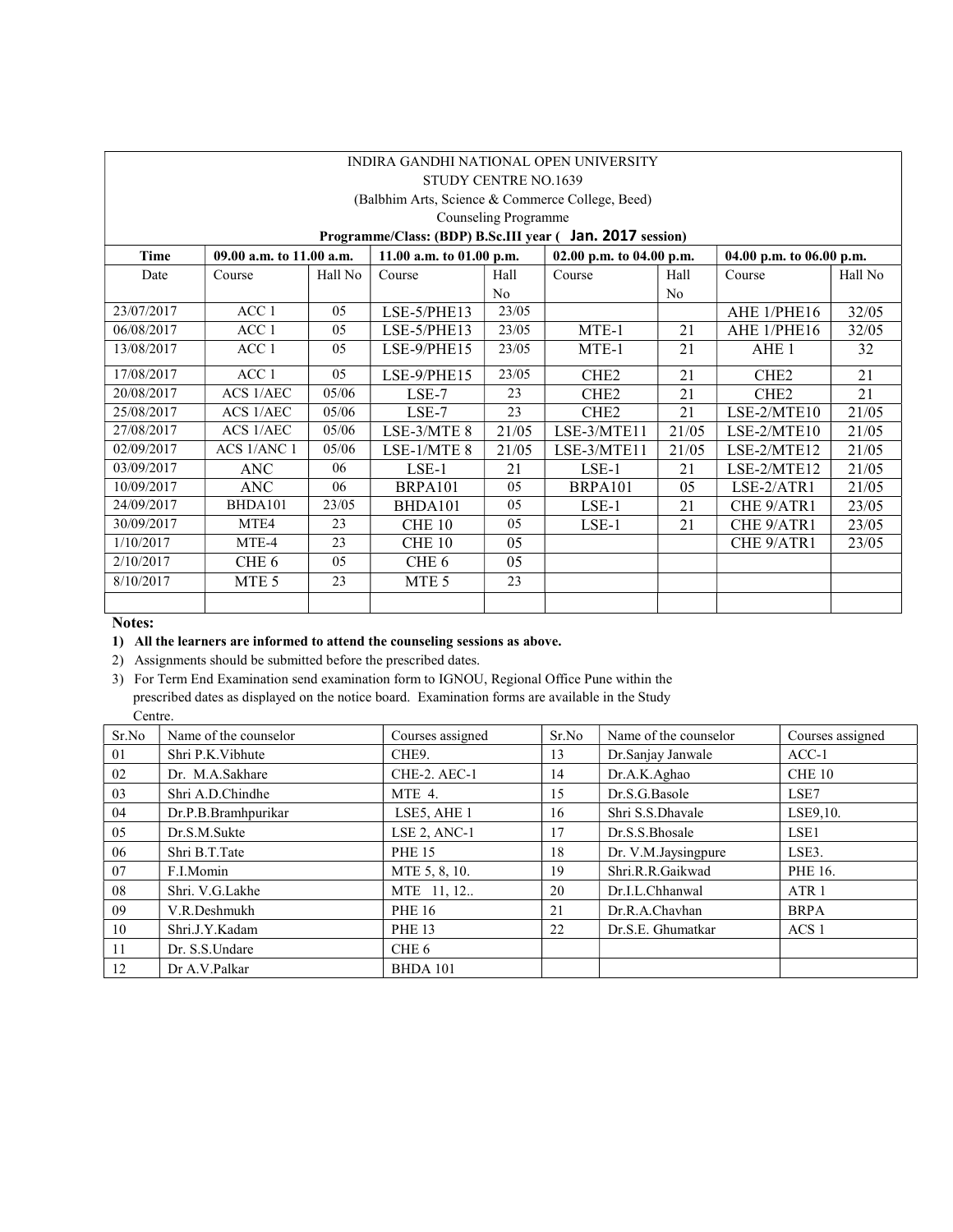|                                                  | INDIRA GANDHI NATIONAL OPEN UNIVERSITY                    |                |                             |                |                          |                |                          |         |  |  |  |
|--------------------------------------------------|-----------------------------------------------------------|----------------|-----------------------------|----------------|--------------------------|----------------|--------------------------|---------|--|--|--|
|                                                  |                                                           |                | <b>STUDY CENTRE NO.1639</b> |                |                          |                |                          |         |  |  |  |
| (Balbhim Arts, Science & Commerce College, Beed) |                                                           |                |                             |                |                          |                |                          |         |  |  |  |
|                                                  | Counseling Programme                                      |                |                             |                |                          |                |                          |         |  |  |  |
|                                                  | Programme/Class: (BDP) B.Sc.III year ( Jan. 2017 session) |                |                             |                |                          |                |                          |         |  |  |  |
| Time                                             | 09.00 a.m. to 11.00 a.m.                                  |                | 11.00 a.m. to $01.00$ p.m.  |                | 02.00 p.m. to 04.00 p.m. |                | 04.00 p.m. to 06.00 p.m. |         |  |  |  |
| Date                                             | Course                                                    | Hall No        | Course                      | Hall           | Course                   | Hall           | Course                   | Hall No |  |  |  |
|                                                  |                                                           |                |                             | N <sub>0</sub> |                          | N <sub>o</sub> |                          |         |  |  |  |
| 23/07/2017                                       | ACC <sub>1</sub>                                          | 0 <sub>5</sub> | LSE-5/PHE13                 | 23/05          |                          |                | AHE 1/PHE16              | 32/05   |  |  |  |
| 06/08/2017                                       | ACC <sub>1</sub>                                          | 05             | LSE-5/PHE13                 | 23/05          | MTE-1                    | 21             | AHE 1/PHE16              | 32/05   |  |  |  |
| 13/08/2017                                       | ACC 1                                                     | 0 <sub>5</sub> | $LSE-9/PHE15$               | 23/05          | MTE-1                    | 21             | AHE <sub>1</sub>         | 32      |  |  |  |
| 17/08/2017                                       | ACC <sub>1</sub>                                          | 05             | LSE-9/PHE15                 | 23/05          | CHE <sub>2</sub>         | 21             | CHE <sub>2</sub>         | 21      |  |  |  |
| 20/08/2017                                       | ACS 1/AEC                                                 | 05/06          | $LSE-7$                     | 23             | CHE <sub>2</sub>         | 21             | CHE <sub>2</sub>         | 21      |  |  |  |
| 25/08/2017                                       | ACS 1/AEC                                                 | 05/06          | $LSE-7$                     | 23             | CHE <sub>2</sub>         | 21             | LSE-2/MTE10              | 21/05   |  |  |  |
| 27/08/2017                                       | <b>ACS 1/AEC</b>                                          | 05/06          | LSE-3/MTE 8                 | 21/05          | LSE-3/MTE11              | 21/05          | LSE-2/MTE10              | 21/05   |  |  |  |
| 02/09/2017                                       | ACS 1/ANC 1                                               | 05/06          | LSE-1/MTE 8                 | 21/05          | LSE-3/MTE11              | 21/05          | LSE-2/MTE12              | 21/05   |  |  |  |
| 03/09/2017                                       | <b>ANC</b>                                                | 06             | $LSE-1$                     | 21             | $LSE-1$                  | 21             | LSE-2/MTE12              | 21/05   |  |  |  |
| 10/09/2017                                       | <b>ANC</b>                                                | 06             | BRPA101                     | 05             | BRPA101                  | 05             | LSE-2/ATR1               | 21/05   |  |  |  |
| 24/09/2017                                       | BHDA101                                                   | 23/05          | BHDA101                     | 05             | $LSE-1$                  | 21             | CHE 9/ATR1               | 23/05   |  |  |  |
| 30/09/2017                                       | MTE4                                                      | 23             | <b>CHE 10</b>               | 05             | LSE-1                    | 21             | CHE 9/ATR1               | 23/05   |  |  |  |
| 1/10/2017                                        | MTE-4                                                     | 23             | CHE 10                      | 05             |                          |                | CHE 9/ATR1               | 23/05   |  |  |  |
| 2/10/2017                                        | CHE <sub>6</sub>                                          | 05             | CHE 6                       | 05             |                          |                |                          |         |  |  |  |
| 8/10/2017                                        | MTE <sub>5</sub>                                          | 23             | MTE <sub>5</sub>            | 23             |                          |                |                          |         |  |  |  |
|                                                  |                                                           |                |                             |                |                          |                |                          |         |  |  |  |

#### 1) All the learners are informed to attend the counseling sessions as above.

2) Assignments should be submitted before the prescribed dates.

3) For Term End Examination send examination form to IGNOU, Regional Office Pune within the prescribed dates as displayed on the notice board. Examination forms are available in the Study Centre.

| Sr.No | Name of the counselor | Courses assigned | Sr.No | Name of the counselor | Courses assigned |
|-------|-----------------------|------------------|-------|-----------------------|------------------|
| 01    | Shri P.K. Vibhute     | CHE9.            | 13    | Dr.Sanjay Janwale     | $ACC-1$          |
| 02    | Dr. M.A.Sakhare       | CHE-2. AEC-1     | 14    | Dr.A.K.Aghao          | CHE 10           |
| 03    | Shri A.D.Chindhe      | MTE 4.           | 15    | Dr.S.G.Basole         | LSE7             |
| 04    | Dr.P.B.Bramhpurikar   | LSE5, AHE 1      | 16    | Shri S.S.Dhavale      | LSE9,10.         |
| 05    | Dr.S.M.Sukte          | LSE 2, ANC-1     | 17    | Dr.S.S.Bhosale        | LSE <sub>1</sub> |
| 06    | Shri B.T.Tate         | <b>PHE 15</b>    | 18    | Dr. V.M.Jaysingpure   | LSE3.            |
| 07    | F.I.Momin             | MTE 5, 8, 10.    | 19    | Shri.R.R.Gaikwad      | PHE 16.          |
| 08    | Shri. V.G.Lakhe       | MTE 11, 12       | 20    | Dr.I.L.Chhanwal       | ATR <sub>1</sub> |
| 09    | V.R.Deshmukh          | <b>PHE 16</b>    | 21    | Dr.R.A.Chavhan        | <b>BRPA</b>      |
| 10    | Shri.J.Y.Kadam        | <b>PHE 13</b>    | 22    | Dr.S.E. Ghumatkar     | ACS <sub>1</sub> |
| 11    | Dr. S.S. Undare       | CHE 6            |       |                       |                  |
| 12    | Dr A.V.Palkar         | <b>BHDA 101</b>  |       |                       |                  |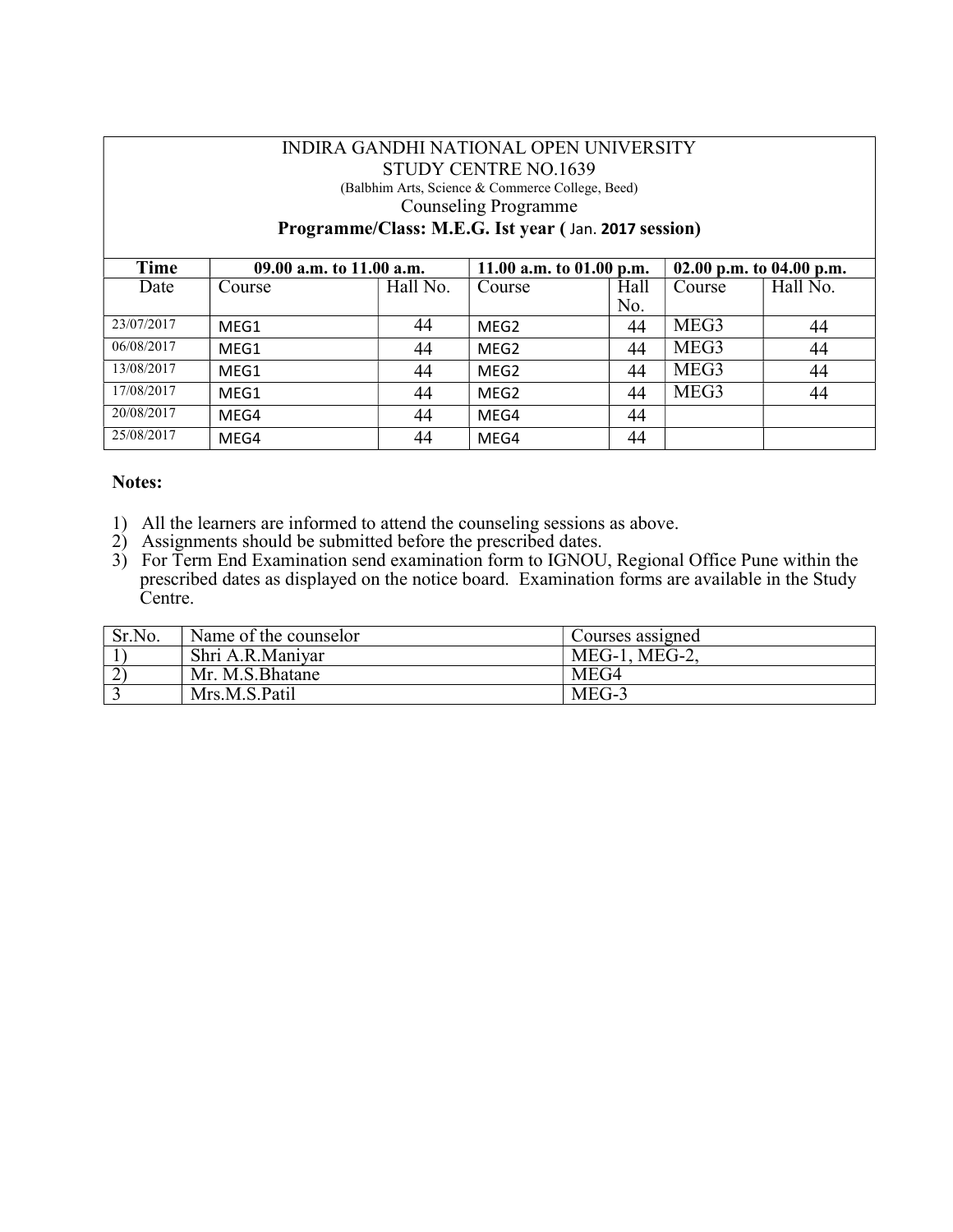#### INDIRA GANDHI NATIONAL OPEN UNIVERSITY STUDY CENTRE NO.1639 (Balbhim Arts, Science & Commerce College, Beed) Counseling Programme Programme/Class: M.E.G. Ist year ( Jan. 2017 session)

| Time       | 09.00 a.m. to 11.00 a.m. |          | 11.00 a.m. to $01.00$ p.m. |      | 02.00 p.m. to 04.00 p.m. |          |
|------------|--------------------------|----------|----------------------------|------|--------------------------|----------|
| Date       | Course                   | Hall No. | Course                     | Hall | Course                   | Hall No. |
|            |                          |          |                            | No.  |                          |          |
| 23/07/2017 | MEG1                     | 44       | MEG <sub>2</sub>           | 44   | MEG3                     | 44       |
| 06/08/2017 | MEG1                     | 44       | MEG <sub>2</sub>           | 44   | MEG3                     | 44       |
| 13/08/2017 | MEG1                     | 44       | MEG <sub>2</sub>           | 44   | MEG3                     | 44       |
| 17/08/2017 | MEG1                     | 44       | MEG <sub>2</sub>           | 44   | MEG3                     | 44       |
| 20/08/2017 | MEG4                     | 44       | MEG4                       | 44   |                          |          |
| 25/08/2017 | MEG4                     | 44       | MEG4                       | 44   |                          |          |

- 1) All the learners are informed to attend the counseling sessions as above.
- 2) Assignments should be submitted before the prescribed dates.
- 3) For Term End Examination send examination form to IGNOU, Regional Office Pune within the prescribed dates as displayed on the notice board. Examination forms are available in the Study Centre.

| Sr.No. | Name of the counselor | Courses assigned |
|--------|-----------------------|------------------|
|        | Shri A.R.Maniyar      | $MEG-1$ , MEG-2, |
|        | Mr. M.S. Bhatane      | MEG4             |
|        | Mrs.M.S.Patil         | MEG-3            |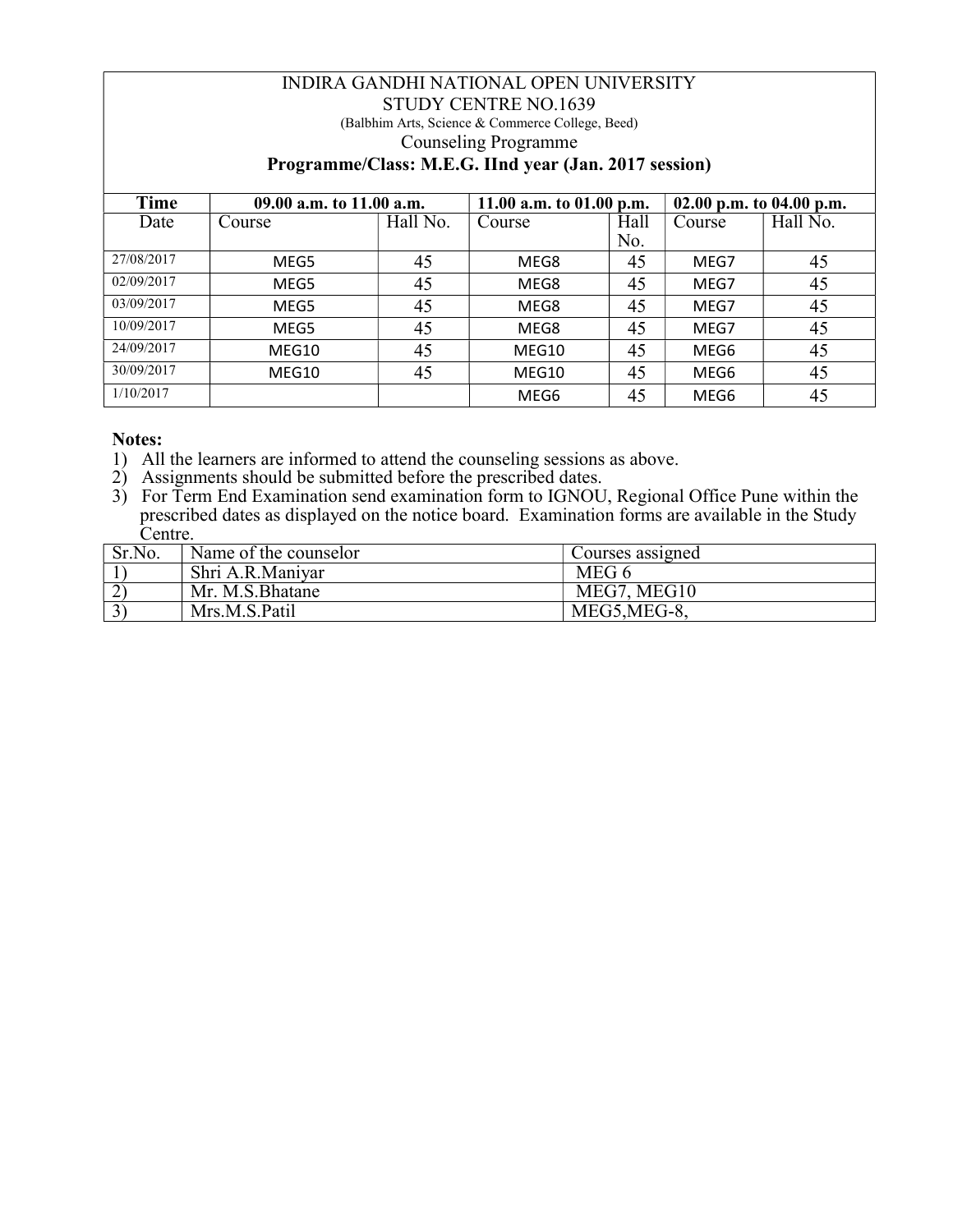## INDIRA GANDHI NATIONAL OPEN UNIVERSITY STUDY CENTRE NO.1639 (Balbhim Arts, Science & Commerce College, Beed) Counseling Programme Programme/Class: M.E.G. IInd year (Jan. 2017 session)

| Time       | 09.00 a.m. to 11.00 a.m. |          | 11.00 a.m. to $01.00$ p.m. |      | 02.00 p.m. to 04.00 p.m. |          |
|------------|--------------------------|----------|----------------------------|------|--------------------------|----------|
| Date       | Course                   | Hall No. | Course                     | Hall | Course                   | Hall No. |
|            |                          |          |                            | No.  |                          |          |
| 27/08/2017 | MEG5                     | 45       | MEG8                       | 45   | MEG7                     | 45       |
| 02/09/2017 | MEG5                     | 45       | MEG8                       | 45   | MEG7                     | 45       |
| 03/09/2017 | MEG5                     | 45       | MEG8                       | 45   | MEG7                     | 45       |
| 10/09/2017 | MEG5                     | 45       | MEG8                       | 45   | MEG7                     | 45       |
| 24/09/2017 | MEG10                    | 45       | MEG10                      | 45   | MEG6                     | 45       |
| 30/09/2017 | MEG10                    | 45       | MEG10                      | 45   | MEG6                     | 45       |
| 1/10/2017  |                          |          | MEG6                       | 45   | MEG6                     | 45       |

- 1) All the learners are informed to attend the counseling sessions as above.
- 2) Assignments should be submitted before the prescribed dates.
- 3) For Term End Examination send examination form to IGNOU, Regional Office Pune within the prescribed dates as displayed on the notice board. Examination forms are available in the Study Centre.

| Sr.No. | Name of the counselor | Courses assigned |
|--------|-----------------------|------------------|
|        | Shri A.R.Maniyar      | MEG 6            |
|        | Mr. M.S.Bhatane       | MEG7, MEG10      |
|        | Mrs.M.S.Patil         | MEG5, MEG-8,     |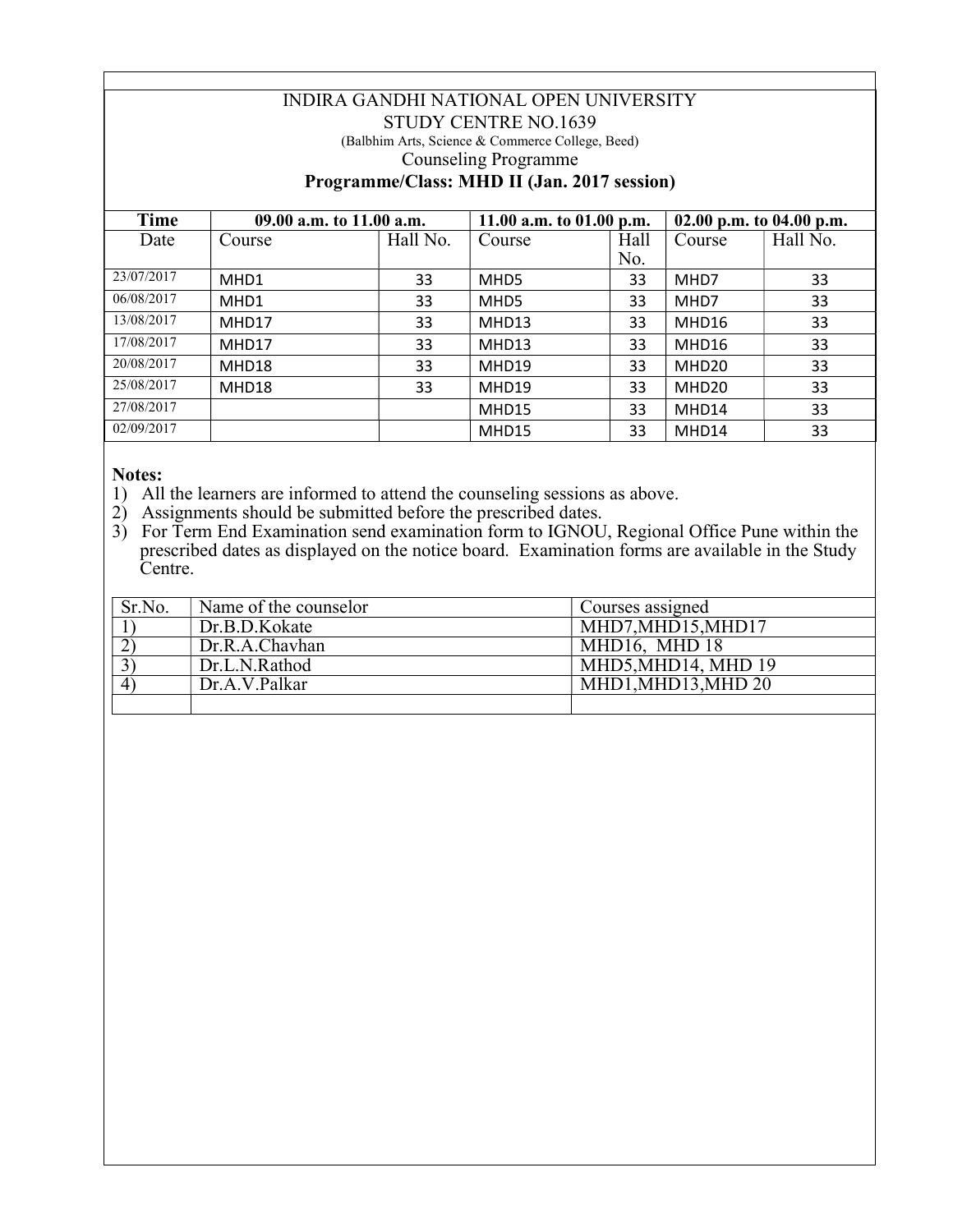## INDIRA GANDHI NATIONAL OPEN UNIVERSITY STUDY CENTRE NO.1639 (Balbhim Arts, Science & Commerce College, Beed) Counseling Programme Programme/Class: MHD II (Jan. 2017 session)

| Time       | 09.00 a.m. to 11.00 a.m. |          | 11.00 a.m. to $01.00$ p.m. |      | 02.00 p.m. to 04.00 p.m. |          |  |
|------------|--------------------------|----------|----------------------------|------|--------------------------|----------|--|
| Date       | Course                   | Hall No. | Course                     | Hall | Course                   | Hall No. |  |
|            |                          |          |                            | No.  |                          |          |  |
| 23/07/2017 | MHD1                     | 33       | MHD5                       | 33   | MHD7                     | 33       |  |
| 06/08/2017 | MHD1                     | 33       | MHD5                       | 33   | MHD7                     | 33       |  |
| 13/08/2017 | MHD17                    | 33       | MHD13                      | 33   | MHD16                    | 33       |  |
| 17/08/2017 | MHD17                    | 33       | MHD13                      | 33   | MHD16                    | 33       |  |
| 20/08/2017 | MHD18                    | 33       | MHD19                      | 33   | MHD20                    | 33       |  |
| 25/08/2017 | MHD18                    | 33       | MHD19                      | 33   | MHD20                    | 33       |  |
| 27/08/2017 |                          |          | MHD15                      | 33   | MHD14                    | 33       |  |
| 02/09/2017 |                          |          | MHD15                      | 33   | MHD14                    | 33       |  |

- 1) All the learners are informed to attend the counseling sessions as above.
- 2) Assignments should be submitted before the prescribed dates.
- 3) For Term End Examination send examination form to IGNOU, Regional Office Pune within the prescribed dates as displayed on the notice board. Examination forms are available in the Study Centre.

| Sr.No. | Name of the counselor | Courses assigned    |
|--------|-----------------------|---------------------|
|        | Dr.B.D.Kokate         | MHD7, MHD15, MHD17  |
|        | Dr.R.A.Chavhan        | MHD16, MHD 18       |
|        | Dr.L.N.Rathod         | MHD5, MHD14, MHD 19 |
|        | Dr.A.V.Palkar         | MHD1, MHD13, MHD 20 |
|        |                       |                     |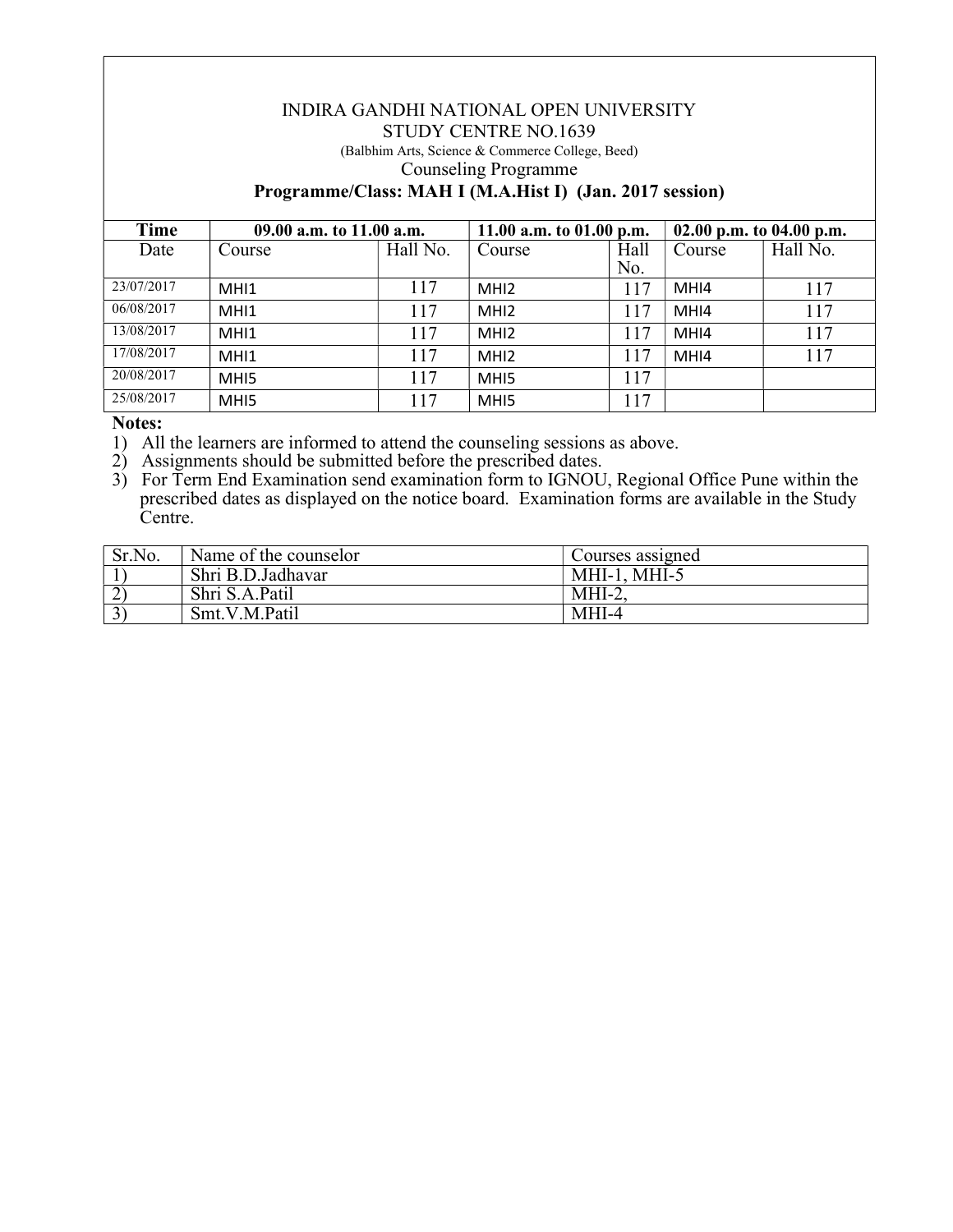#### INDIRA GANDHI NATIONAL OPEN UNIVERSITY STUDY CENTRE NO.1639

(Balbhim Arts, Science & Commerce College, Beed) Counseling Programme

# Programme/Class: MAH I (M.A.Hist I) (Jan. 2017 session)

| Time       | 09.00 a.m. to 11.00 a.m. |          | 11.00 a.m. to $01.00$ p.m. |      | 02.00 p.m. to 04.00 p.m. |          |
|------------|--------------------------|----------|----------------------------|------|--------------------------|----------|
| Date       | Course                   | Hall No. | Course                     | Hall | Course                   | Hall No. |
|            |                          |          |                            | No.  |                          |          |
| 23/07/2017 | MHI1                     | 117      | MH <sub>12</sub>           | 117  | MHI4                     | 117      |
| 06/08/2017 | MHI1                     | 117      | MHI <sub>2</sub>           | 117  | MHI4                     | 117      |
| 13/08/2017 | MHI1                     | 117      | MH <sub>12</sub>           | 117  | MHI4                     | 117      |
| 17/08/2017 | MHI1                     | 117      | MH <sub>12</sub>           | 117  | MHI4                     | 117      |
| 20/08/2017 | MH <sub>I5</sub>         | 117      | MH <sub>I5</sub>           | 117  |                          |          |
| 25/08/2017 | MHI5                     | 117      | MH <sub>I5</sub>           | 117  |                          |          |

Notes:

1) All the learners are informed to attend the counseling sessions as above.

2) Assignments should be submitted before the prescribed dates.

3) For Term End Examination send examination form to IGNOU, Regional Office Pune within the prescribed dates as displayed on the notice board. Examination forms are available in the Study Centre.

| Sr.No. | Name of the counselor | Courses assigned |
|--------|-----------------------|------------------|
|        | Shri B.D.Jadhavar     | MHI-1, MHI-5     |
|        | Shri S.A.Patil        | $MHI-2$          |
|        | Smt.V.M.Patil         | MHI-4            |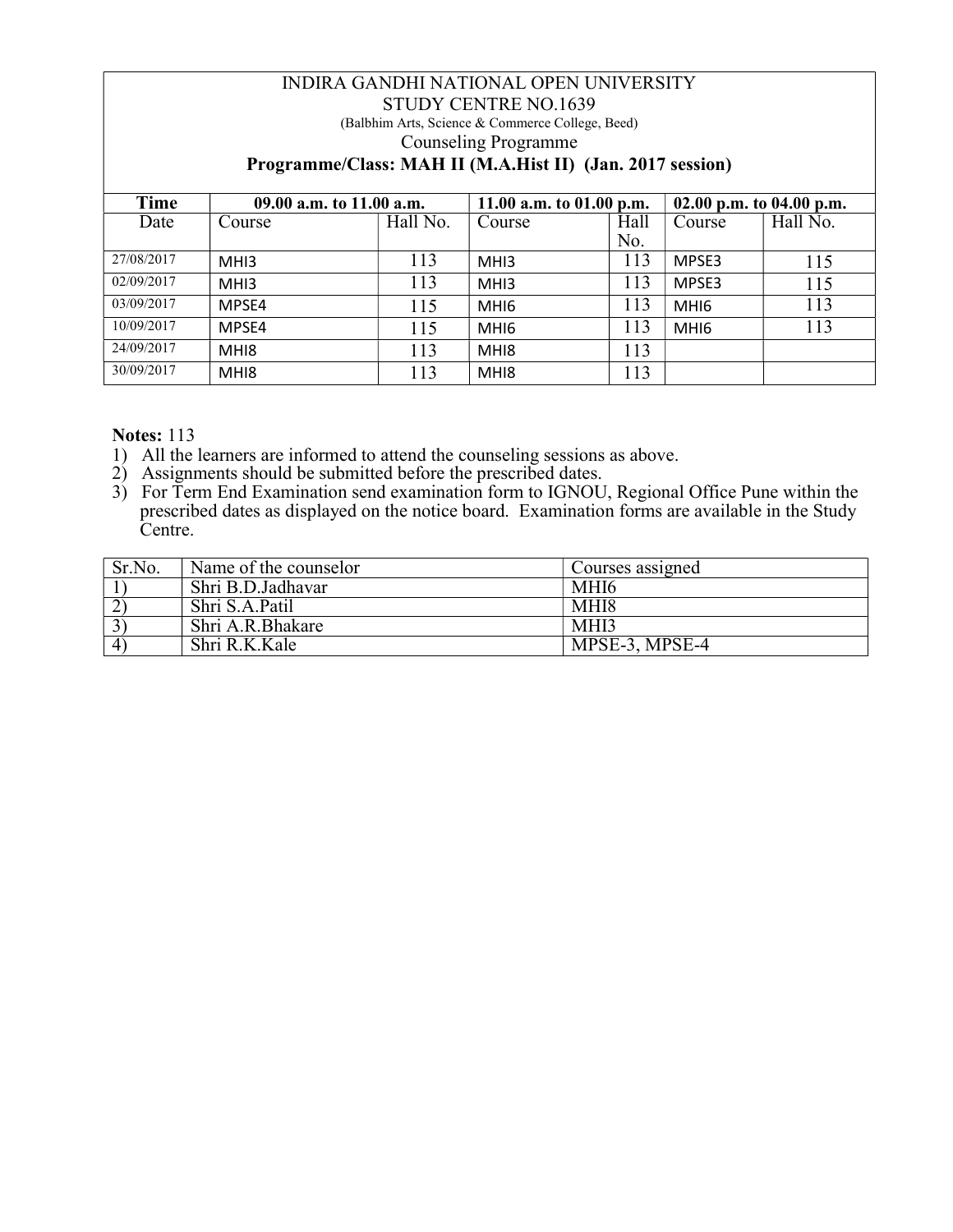## INDIRA GANDHI NATIONAL OPEN UNIVERSITY STUDY CENTRE NO.1639 (Balbhim Arts, Science & Commerce College, Beed) Counseling Programme Programme/Class: MAH II (M.A.Hist II) (Jan. 2017 session)

| Time       | 09.00 a.m. to 11.00 a.m. |          | 11.00 a.m. to $01.00$ p.m. |      | 02.00 p.m. to 04.00 p.m. |          |
|------------|--------------------------|----------|----------------------------|------|--------------------------|----------|
| Date       | Course                   | Hall No. | Course                     | Hall | Course                   | Hall No. |
|            |                          |          |                            | No.  |                          |          |
| 27/08/2017 | MH <sub>13</sub>         | 113      | MH <sub>13</sub>           | 113  | MPSE3                    | 115      |
| 02/09/2017 | MH <sub>13</sub>         | 113      | MH <sub>13</sub>           | 113  | MPSE3                    | 115      |
| 03/09/2017 | MPSE4                    | 115      | MH <sub>I6</sub>           | 113  | MHI <sub>6</sub>         | 113      |
| 10/09/2017 | MPSE4                    | 115      | MH <sub>I6</sub>           | 113  | MHI <sub>6</sub>         | 113      |
| 24/09/2017 | MH <sub>18</sub>         | 113      | MH <sub>18</sub>           | 113  |                          |          |
| 30/09/2017 | MH <sub>18</sub>         | 113      | MH <sub>18</sub>           | 113  |                          |          |

- 1) All the learners are informed to attend the counseling sessions as above.
- 2) Assignments should be submitted before the prescribed dates.
- 3) For Term End Examination send examination form to IGNOU, Regional Office Pune within the prescribed dates as displayed on the notice board. Examination forms are available in the Study Centre.

| Sr.No.         | Name of the counselor | Courses assigned |
|----------------|-----------------------|------------------|
|                | Shri B.D.Jadhavar     | MHI6             |
| $\bigcap$      | Shri S.A.Patil        | MHI8             |
| $3^{\circ}$    | Shri A.R.Bhakare      | MHI3             |
| $\overline{4}$ | Shri R.K.Kale         | MPSE-3, MPSE-4   |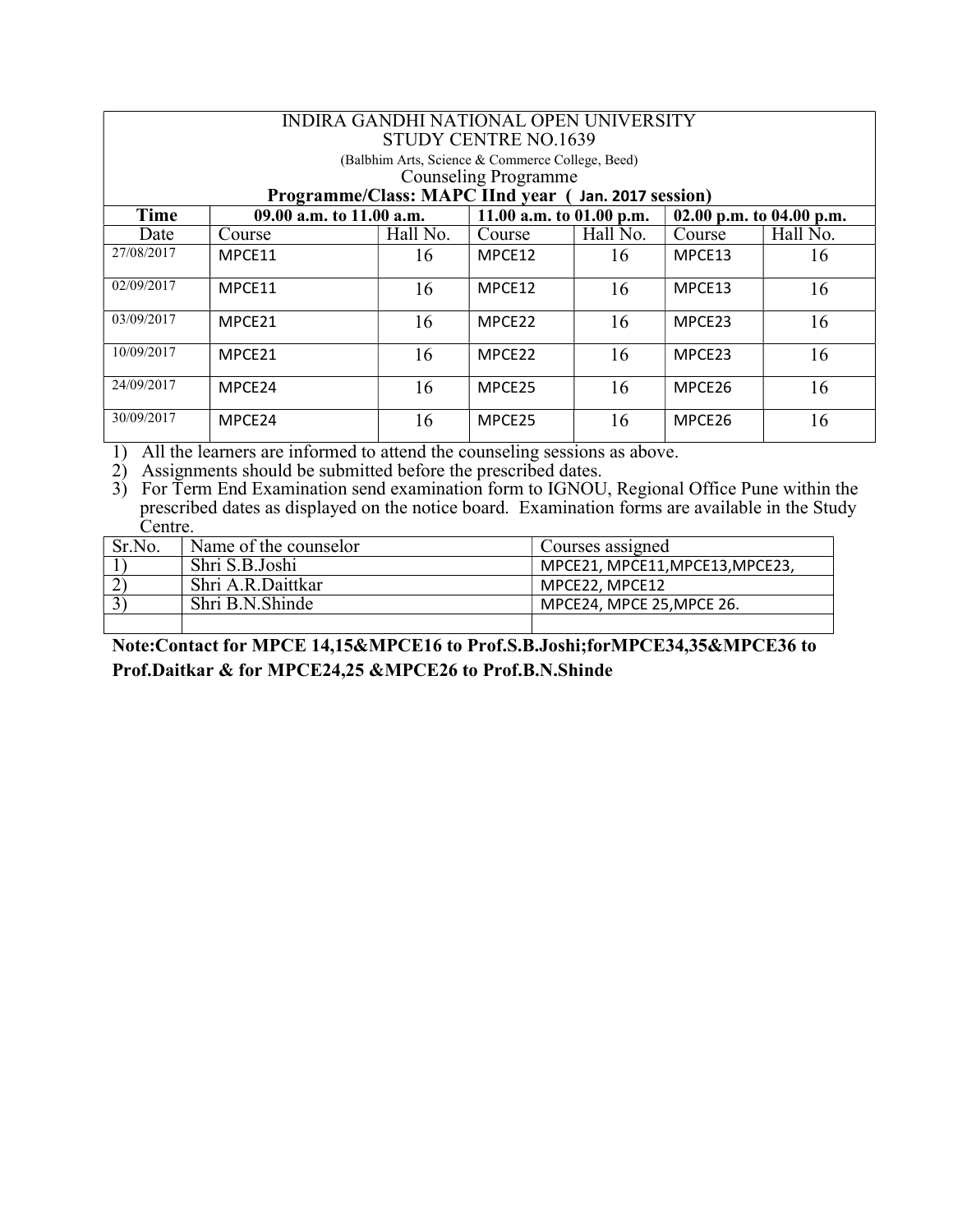| INDIRA GANDHI NATIONAL OPEN UNIVERSITY<br>STUDY CENTRE NO.1639                                                                         |                          |          |                            |          |                          |          |  |
|----------------------------------------------------------------------------------------------------------------------------------------|--------------------------|----------|----------------------------|----------|--------------------------|----------|--|
| (Balbhim Arts, Science & Commerce College, Beed)<br><b>Counseling Programme</b><br>Programme/Class: MAPC IInd year (Jan. 2017 session) |                          |          |                            |          |                          |          |  |
| Time                                                                                                                                   | 09.00 a.m. to 11.00 a.m. |          | 11.00 a.m. to $01.00$ p.m. |          | 02.00 p.m. to 04.00 p.m. |          |  |
| Date                                                                                                                                   | Course                   | Hall No. | Course                     | Hall No. | Course                   | Hall No. |  |
| 27/08/2017                                                                                                                             | MPCE11                   | 16       | MPCE12                     | 16       | MPCE13                   | 16       |  |
| 02/09/2017                                                                                                                             | MPCE11                   | 16       | MPCE12                     | 16       | MPCE13                   | 16       |  |
| 03/09/2017                                                                                                                             | MPCE21                   | 16       | MPCE <sub>22</sub>         | 16       | MPCE23                   | 16       |  |
| 10/09/2017                                                                                                                             | MPCE21                   | 16       | MPCE <sub>22</sub>         | 16       | MPCE <sub>23</sub>       | 16       |  |
| 24/09/2017                                                                                                                             | MPCE24                   | 16       | MPCE25                     | 16       | MPCE26                   | 16       |  |
| 30/09/2017                                                                                                                             | MPCE <sub>24</sub>       | 16       | MPCE <sub>25</sub>         | 16       | MPCE26                   | 16       |  |

1) All the learners are informed to attend the counseling sessions as above.

2) Assignments should be submitted before the prescribed dates.

3) For Term End Examination send examination form to IGNOU, Regional Office Pune within the prescribed dates as displayed on the notice board. Examination forms are available in the Study Centre.

| Sr.No. | Name of the counselor | Courses assigned                |
|--------|-----------------------|---------------------------------|
|        | Shri S.B.Joshi        | MPCE21, MPCE11, MPCE13, MPCE23, |
|        | Shri A.R.Daittkar     | MPCE22. MPCE12                  |
|        | Shri B.N.Shinde       | MPCE24, MPCE 25, MPCE 26.       |
|        |                       |                                 |

Note:Contact for MPCE 14,15&MPCE16 to Prof.S.B.Joshi;forMPCE34,35&MPCE36 to Prof.Daitkar & for MPCE24,25 &MPCE26 to Prof.B.N.Shinde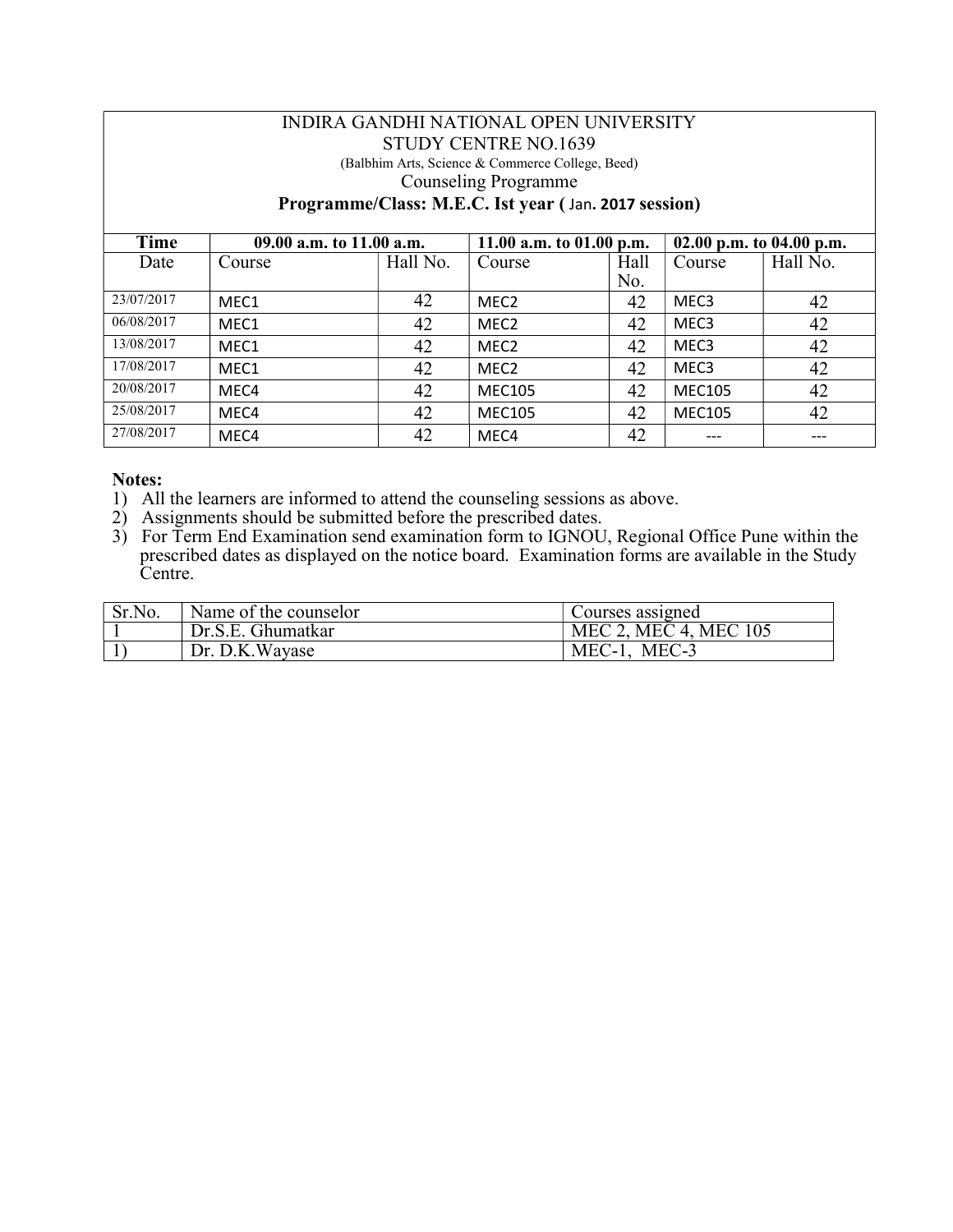#### INDIRA GANDHI NATIONAL OPEN UNIVERSITY STUDY CENTRE NO.1639 (Balbhim Arts, Science & Commerce College, Beed) Counseling Programme

#### Programme/Class: M.E.C. Ist year ( Jan. 2017 session)

| Time       | 09.00 a.m. to 11.00 a.m. |          | 11.00 a.m. to $01.00$ p.m. |      | 02.00 p.m. to 04.00 p.m. |          |
|------------|--------------------------|----------|----------------------------|------|--------------------------|----------|
| Date       | Course                   | Hall No. | Course                     | Hall | Course                   | Hall No. |
|            |                          |          |                            | No.  |                          |          |
| 23/07/2017 | MEC1                     | 42       | MEC <sub>2</sub>           | 42   | MEC <sub>3</sub>         | 42       |
| 06/08/2017 | MEC1                     | 42       | MEC <sub>2</sub>           | 42   | MEC <sub>3</sub>         | 42       |
| 13/08/2017 | MEC1                     | 42       | MEC <sub>2</sub>           | 42   | MEC <sub>3</sub>         | 42       |
| 17/08/2017 | MEC1                     | 42       | MEC <sub>2</sub>           | 42   | MEC <sub>3</sub>         | 42       |
| 20/08/2017 | MEC4                     | 42       | <b>MEC105</b>              | 42   | <b>MEC105</b>            | 42       |
| 25/08/2017 | MEC4                     | 42       | <b>MEC105</b>              | 42   | <b>MEC105</b>            | 42       |
| 27/08/2017 | MEC4                     | 42       | MEC4                       | 42   |                          |          |

- 1) All the learners are informed to attend the counseling sessions as above.
- 2) Assignments should be submitted before the prescribed dates.
- 3) For Term End Examination send examination form to IGNOU, Regional Office Pune within the prescribed dates as displayed on the notice board. Examination forms are available in the Study Centre.

| Sr.No. | Name of the counselor | Courses assigned      |
|--------|-----------------------|-----------------------|
|        | Dr.S.E. Ghumatkar     | MEC 2, MEC 4, MEC 105 |
|        | Dr. D.K.Wayase        | MEC-3<br>$MEC-1$ ,    |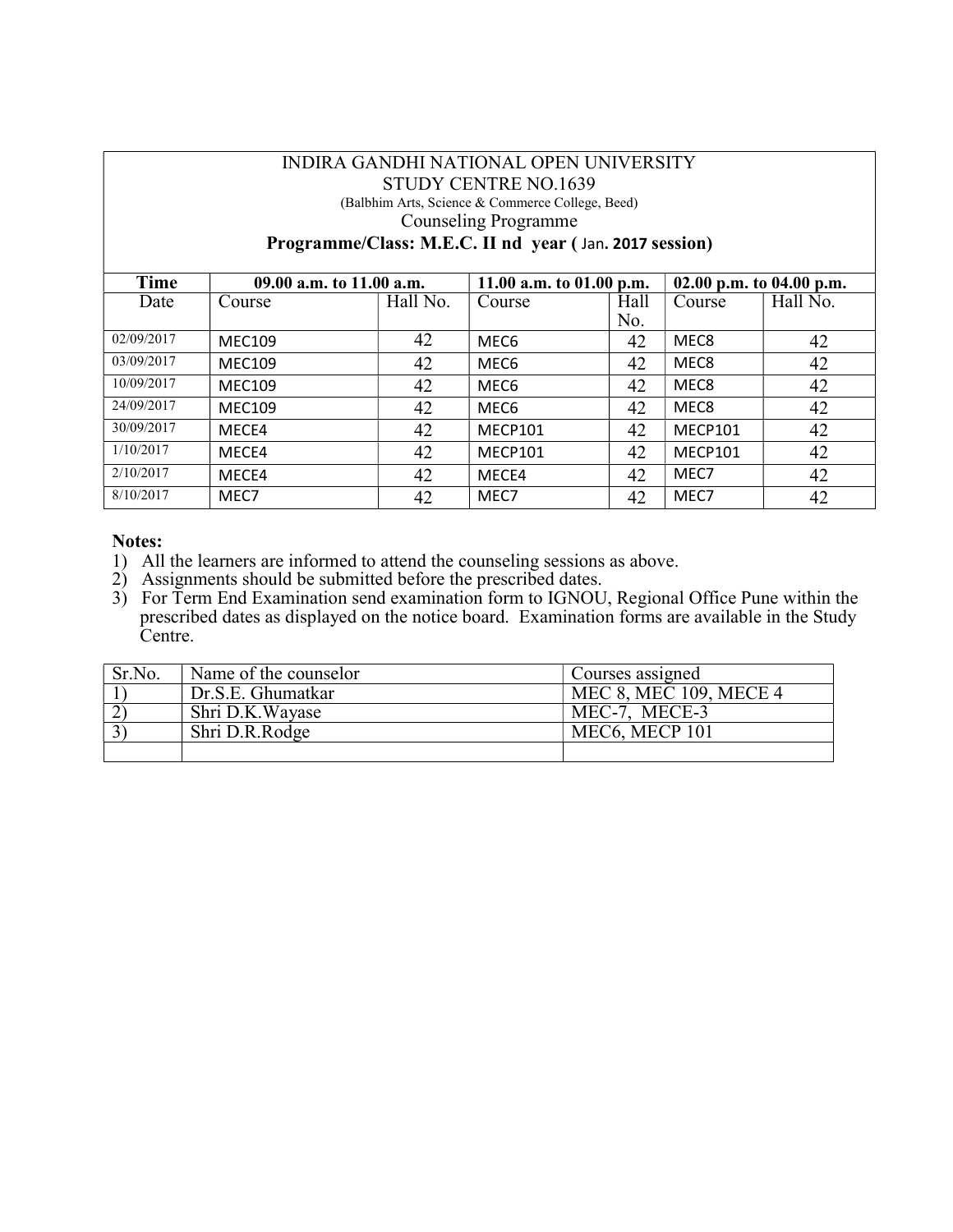# INDIRA GANDHI NATIONAL OPEN UNIVERSITY STUDY CENTRE NO.1639

(Balbhim Arts, Science & Commerce College, Beed)

Counseling Programme

Programme/Class: M.E.C. II nd year ( Jan. 2017 session)

| Time       | 09.00 a.m. to 11.00 a.m. |          | 11.00 a.m. to $01.00$ p.m. |      | 02.00 p.m. to 04.00 p.m. |          |
|------------|--------------------------|----------|----------------------------|------|--------------------------|----------|
| Date       | Course                   | Hall No. | Course                     | Hall | Course                   | Hall No. |
|            |                          |          |                            | No.  |                          |          |
| 02/09/2017 | <b>MEC109</b>            | 42       | MEC <sub>6</sub>           | 42   | MEC8                     | 42       |
| 03/09/2017 | <b>MEC109</b>            | 42       | MEC <sub>6</sub>           | 42   | MEC8                     | 42       |
| 10/09/2017 | <b>MEC109</b>            | 42       | MEC <sub>6</sub>           | 42   | MEC8                     | 42       |
| 24/09/2017 | <b>MEC109</b>            | 42       | MEC <sub>6</sub>           | 42   | MEC8                     | 42       |
| 30/09/2017 | MECE4                    | 42       | MECP101                    | 42   | MECP101                  | 42       |
| 1/10/2017  | MECE4                    | 42       | <b>MECP101</b>             | 42   | MECP101                  | 42       |
| 2/10/2017  | MECE4                    | 42       | MECE4                      | 42   | MEC7                     | 42       |
| 8/10/2017  | MEC7                     | 42       | MEC7                       | 42   | MEC7                     | 42       |

- 1) All the learners are informed to attend the counseling sessions as above.
- 2) Assignments should be submitted before the prescribed dates.
- 3) For Term End Examination send examination form to IGNOU, Regional Office Pune within the prescribed dates as displayed on the notice board. Examination forms are available in the Study Centre.

| Sr.No. | Name of the counselor | Courses assigned                        |
|--------|-----------------------|-----------------------------------------|
|        | Dr.S.E. Ghumatkar     | MEC 8, MEC 109, MECE 4                  |
|        | Shri D.K.Wayase       | MEC-7, MECE-3                           |
|        | Shri D.R.Rodge        | MEC <sub>6</sub> , MEC <sub>P</sub> 101 |
|        |                       |                                         |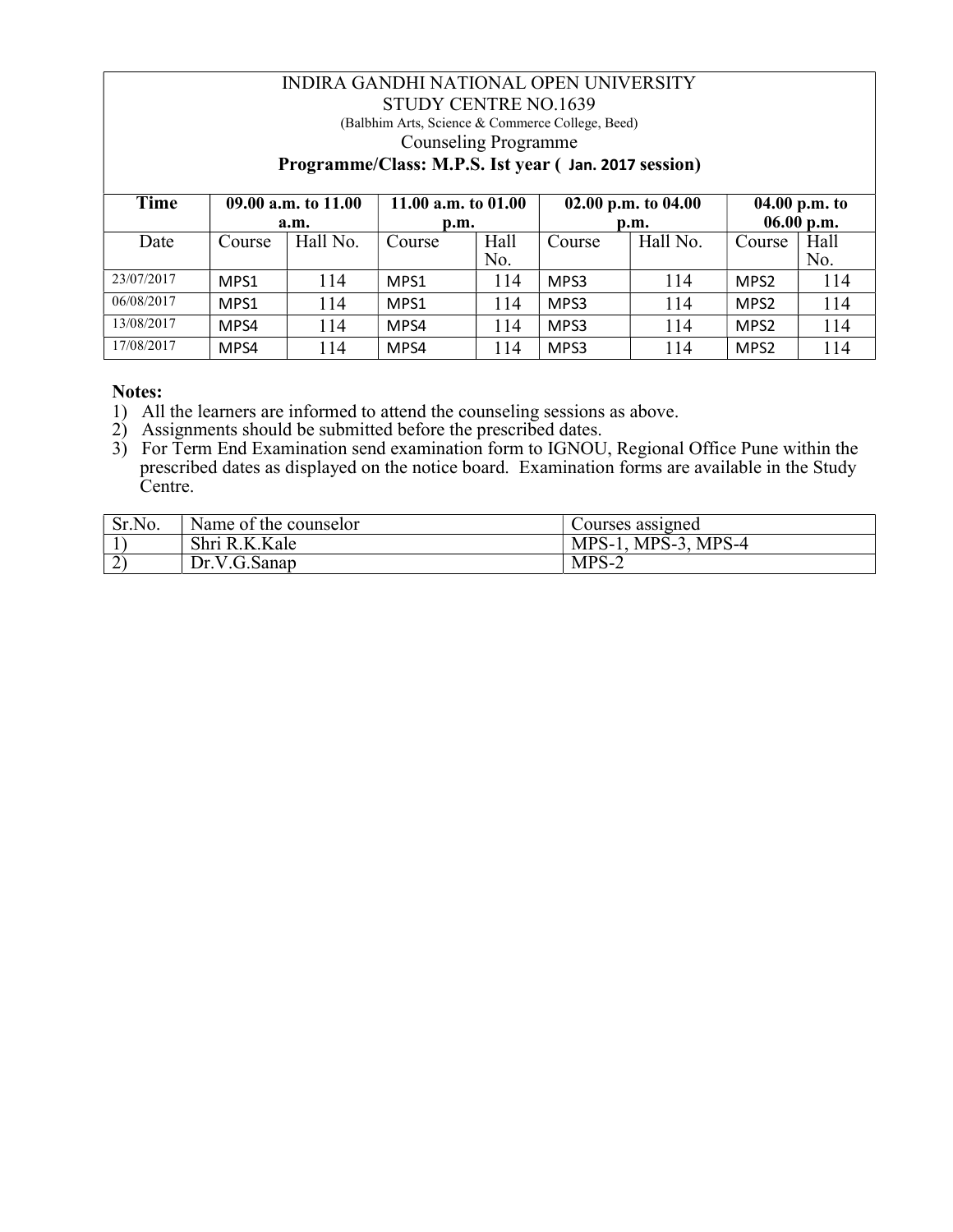## INDIRA GANDHI NATIONAL OPEN UNIVERSITY STUDY CENTRE NO.1639 (Balbhim Arts, Science & Commerce College, Beed) Counseling Programme Programme/Class: M.P.S. Ist year ( Jan. 2017 session)

| Time       | 09.00 a.m. to 11.00 |          | 11.00 a.m. to 01.00 |      | 02.00 p.m. to $04.00$ |          | 04.00 p.m. to    |      |
|------------|---------------------|----------|---------------------|------|-----------------------|----------|------------------|------|
|            |                     | a.m.     | p.m.                |      | p.m.                  |          | 06.00 p.m.       |      |
| Date       | Course              | Hall No. | Course              | Hall | Course                | Hall No. | Course           | Hall |
|            |                     |          |                     | No.  |                       |          |                  | No.  |
| 23/07/2017 | MPS1                | 114      | MPS1                | ı 14 | MPS3                  | 114      | MPS2             | 114  |
| 06/08/2017 | MPS1                | 114      | MPS1                | 114  | MPS3                  | 114      | MPS <sub>2</sub> | 114  |
| 13/08/2017 | MPS4                | l 14     | MPS4                | 114  | MPS3                  | l 14     | MPS <sub>2</sub> | 114  |
| 17/08/2017 | MPS4                | l 14     | MPS4                | 114  | MPS3                  | l 14     | MPS <sub>2</sub> | 114  |

- 1) All the learners are informed to attend the counseling sessions as above.
- 2) Assignments should be submitted before the prescribed dates.
- 3) For Term End Examination send examination form to IGNOU, Regional Office Pune within the prescribed dates as displayed on the notice board. Examination forms are available in the Study Centre.

| Sr.No.      | Name of the counselor | Courses assigned        |
|-------------|-----------------------|-------------------------|
|             | K.Kale<br>Shri R.     | MPS-4<br>$MPS-3$<br>MPS |
| $\sim$<br>∼ | Dr.V.G.Sanap          | $MP^{\circ}$<br>∕ - ت   |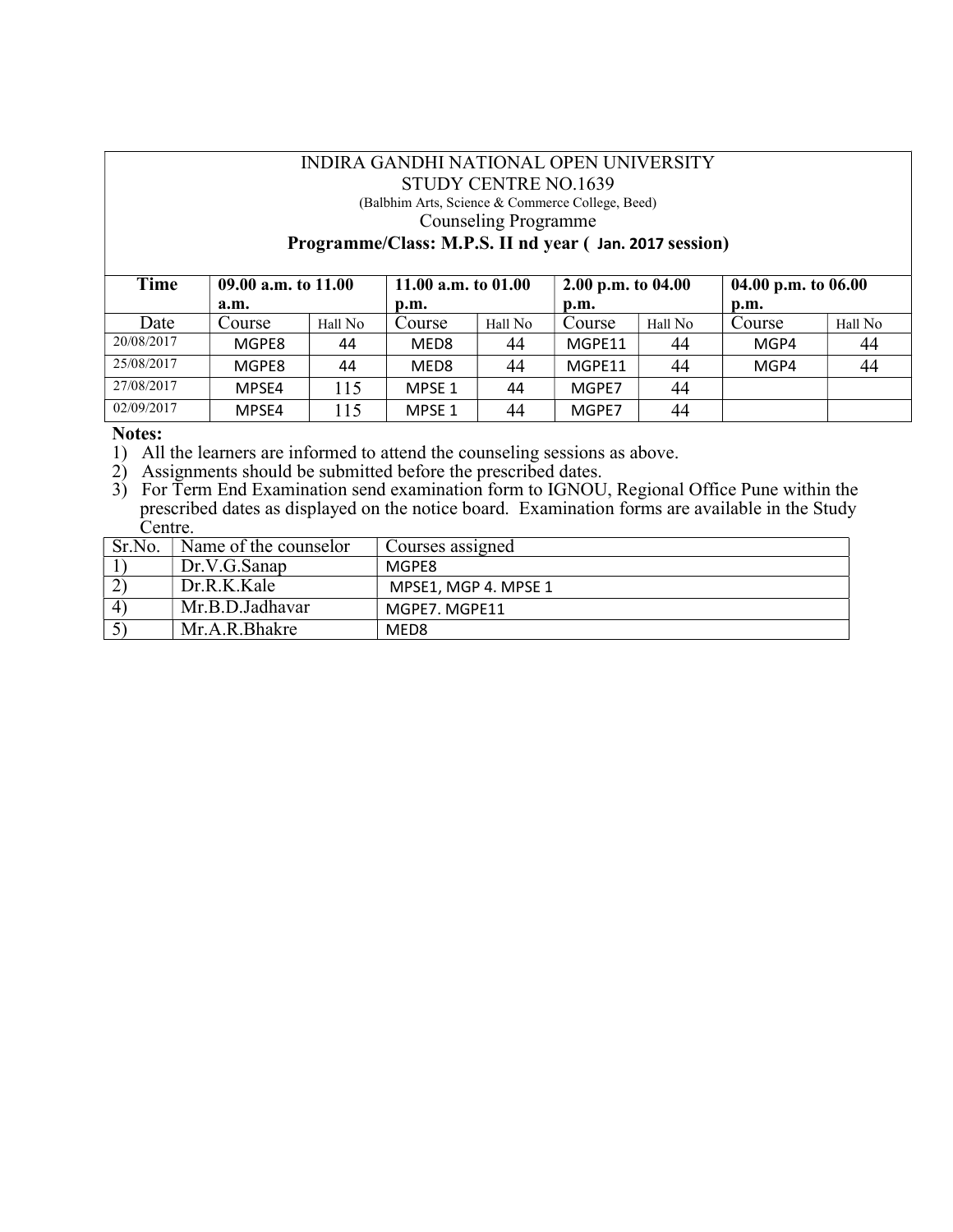## INDIRA GANDHI NATIONAL OPEN UNIVERSITY STUDY CENTRE NO.1639

(Balbhim Arts, Science & Commerce College, Beed)

Counseling Programme

#### Programme/Class: M.P.S. II nd year ( Jan. 2017 session)

| Time       | 09.00 a.m. to 11.00 |         | 11.00 a.m. to $01.00$ |         | 2.00 p.m. to $04.00$ |         | 04.00 p.m. to $06.00$     |         |
|------------|---------------------|---------|-----------------------|---------|----------------------|---------|---------------------------|---------|
|            | a.m.                |         | p.m.                  |         | p.m.                 |         | $\mathbf{D}.\mathbf{m}$ . |         |
| Date       | Course              | Hall No | Course                | Hall No | Course               | Hall No | Course                    | Hall No |
| 20/08/2017 | MGPE8               | 44      | MED <sub>8</sub>      | 44      | MGPF11               | 44      | MGP4                      | 44      |
| 25/08/2017 | MGPE8               | 44      | MED <sub>8</sub>      | 44      | MGPE11               | 44      | MGP4                      | 44      |
| 27/08/2017 | MPSE4               | 115     | MPSE 1                | 44      | MGPE7                | 44      |                           |         |
| 02/09/2017 | MPSE4               | 115     | MPSE 1                | 44      | MGPE7                | 44      |                           |         |

#### Notes:

1) All the learners are informed to attend the counseling sessions as above.

- 2) Assignments should be submitted before the prescribed dates.
- 3) For Term End Examination send examination form to IGNOU, Regional Office Pune within the prescribed dates as displayed on the notice board. Examination forms are available in the Study Centre.

| Sr.No.                 | Name of the counselor | Courses assigned     |
|------------------------|-----------------------|----------------------|
|                        | Dr.V.G.Sanap          | MGPE8                |
|                        | Dr.R.K.Kale           | MPSE1, MGP 4. MPSE 1 |
| $\boldsymbol{\Lambda}$ | Mr.B.D.Jadhavar       | MGPE7. MGPE11        |
|                        | Mr.A.R.Bhakre         | MED8                 |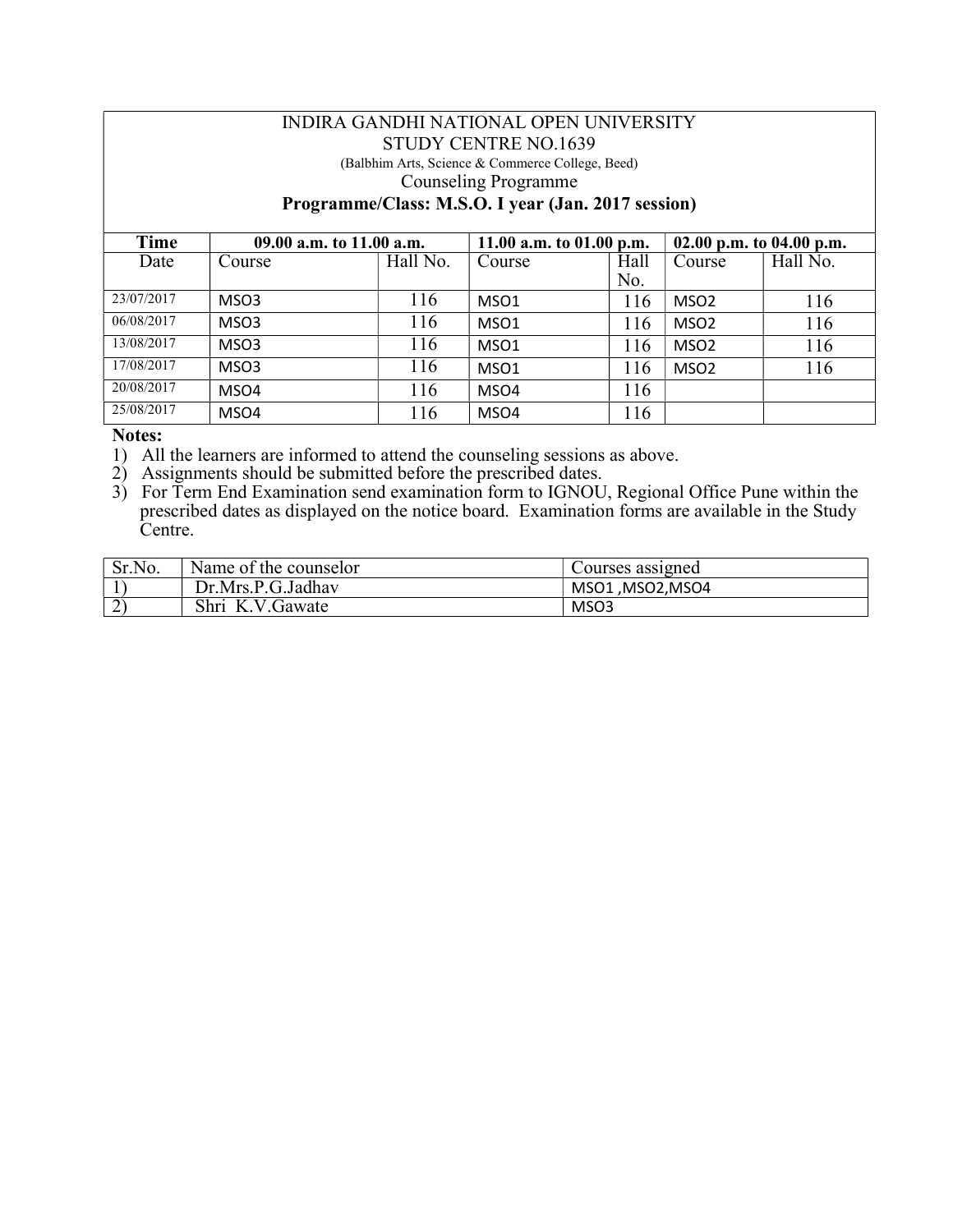#### INDIRA GANDHI NATIONAL OPEN UNIVERSITY STUDY CENTRE NO.1639 (Balbhim Arts, Science & Commerce College, Beed)

# Counseling Programme

Programme/Class: M.S.O. I year (Jan. 2017 session)

| Time       | 09.00 a.m. to 11.00 a.m. |          | 11.00 a.m. to $01.00$ p.m. |      | 02.00 p.m. to 04.00 p.m. |          |
|------------|--------------------------|----------|----------------------------|------|--------------------------|----------|
| Date       | Course                   | Hall No. | Course                     | Hall | Course                   | Hall No. |
|            |                          |          |                            | No.  |                          |          |
| 23/07/2017 | MSO3                     | 116      | MSO <sub>1</sub>           | 116  | MSO <sub>2</sub>         | 116      |
| 06/08/2017 | MSO3                     | 116      | MSO <sub>1</sub>           | 116  | MSO <sub>2</sub>         | 116      |
| 13/08/2017 | MSO3                     | 116      | MSO <sub>1</sub>           | 116  | MSO <sub>2</sub>         | 116      |
| 17/08/2017 | MSO3                     | 116      | MSO1                       | 116  | MSO <sub>2</sub>         | 116      |
| 20/08/2017 | MSO4                     | 116      | MSO4                       | 116  |                          |          |
| 25/08/2017 | MSO4                     | 116      | MSO4                       | 116  |                          |          |

### Notes:

1) All the learners are informed to attend the counseling sessions as above.

2) Assignments should be submitted before the prescribed dates.

3) For Term End Examination send examination form to IGNOU, Regional Office Pune within the prescribed dates as displayed on the notice board. Examination forms are available in the Study Centre.

| Sr.No.                | Name of the counselor | Courses assigned |
|-----------------------|-----------------------|------------------|
|                       | Dr.Mrs.P.G.Jadhav     | MSO1, MSO2, MSO4 |
| $\triangleright$<br>∽ | Shri<br>V.Gawate<br>K | MSO3             |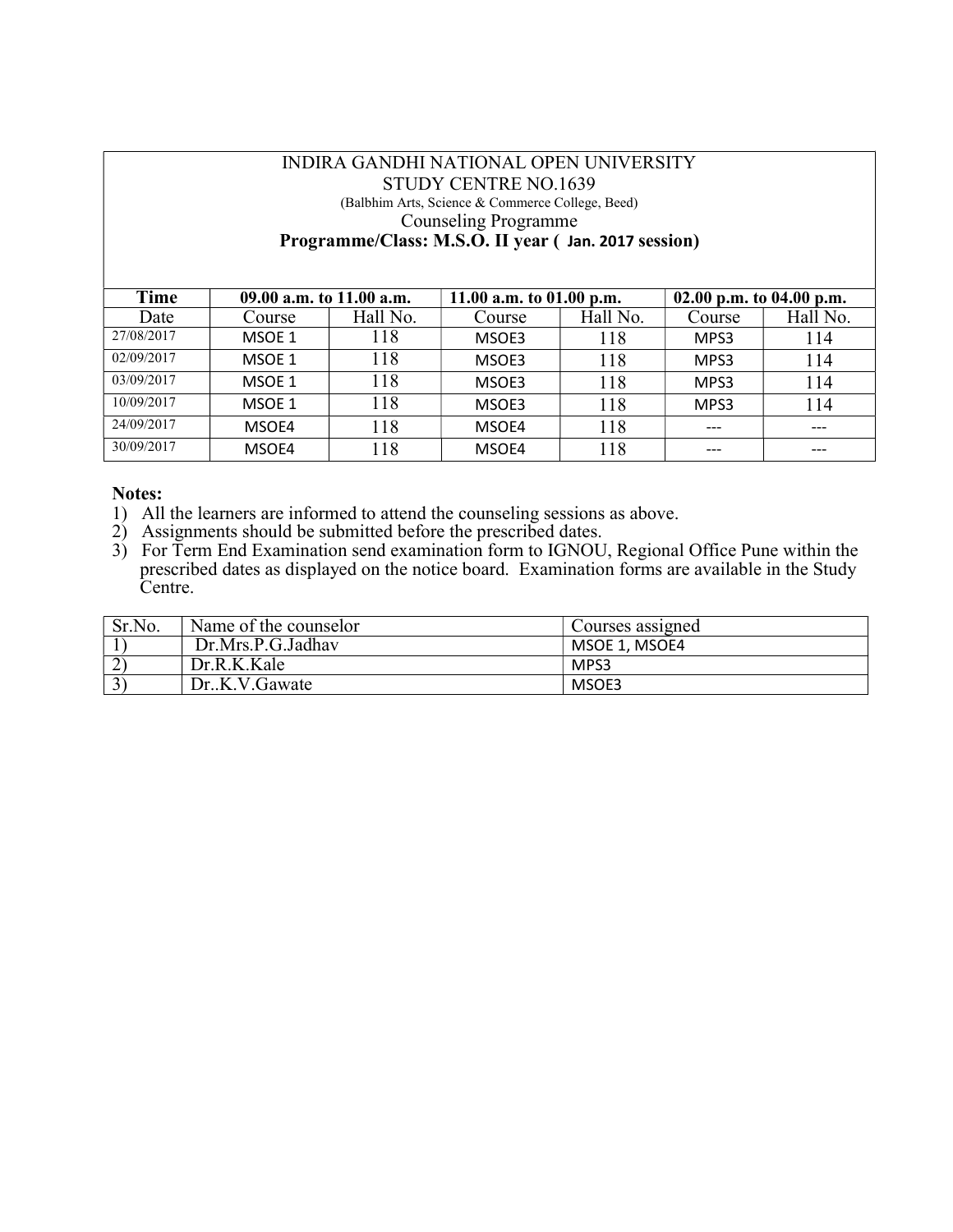## INDIRA GANDHI NATIONAL OPEN UNIVERSITY STUDY CENTRE NO.1639 (Balbhim Arts, Science & Commerce College, Beed) Counseling Programme Programme/Class: M.S.O. II year ( Jan. 2017 session)

| Time       | 09.00 a.m. to 11.00 a.m. |          | 11.00 a.m. to $01.00$ p.m. |          | 02.00 p.m. to 04.00 p.m. |          |  |
|------------|--------------------------|----------|----------------------------|----------|--------------------------|----------|--|
| Date       | Course                   | Hall No. | Course                     | Hall No. | Course                   | Hall No. |  |
| 27/08/2017 | MSOE 1                   | 118      | MSOE3                      | 118      | MPS3                     | 114      |  |
| 02/09/2017 | MSOE 1                   | 118      | MSOE3                      | 118      | MPS3                     | 114      |  |
| 03/09/2017 | MSOE 1                   | 118      | MSOE3                      | 118      | MPS3                     | 114      |  |
| 10/09/2017 | MSOE 1                   | 118      | MSOE3                      | 118      | MPS3                     | 114      |  |
| 24/09/2017 | MSOE4                    | 118      | MSOE4                      | 118      | $---$                    | ---      |  |
| 30/09/2017 | MSOE4                    | 118      | MSOE4                      | 118      | ---                      |          |  |

- 1) All the learners are informed to attend the counseling sessions as above.
- 2) Assignments should be submitted before the prescribed dates.
- 3) For Term End Examination send examination form to IGNOU, Regional Office Pune within the prescribed dates as displayed on the notice board. Examination forms are available in the Study Centre.

| Sr.No. | Name of the counselor | Courses assigned |
|--------|-----------------------|------------------|
|        | Dr.Mrs.P.G.Jadhav     | MSOE 1, MSOE4    |
|        | Dr.R.K.Kale           | MPS3             |
|        | Dr.,K.V.Gawate        | MSOE3            |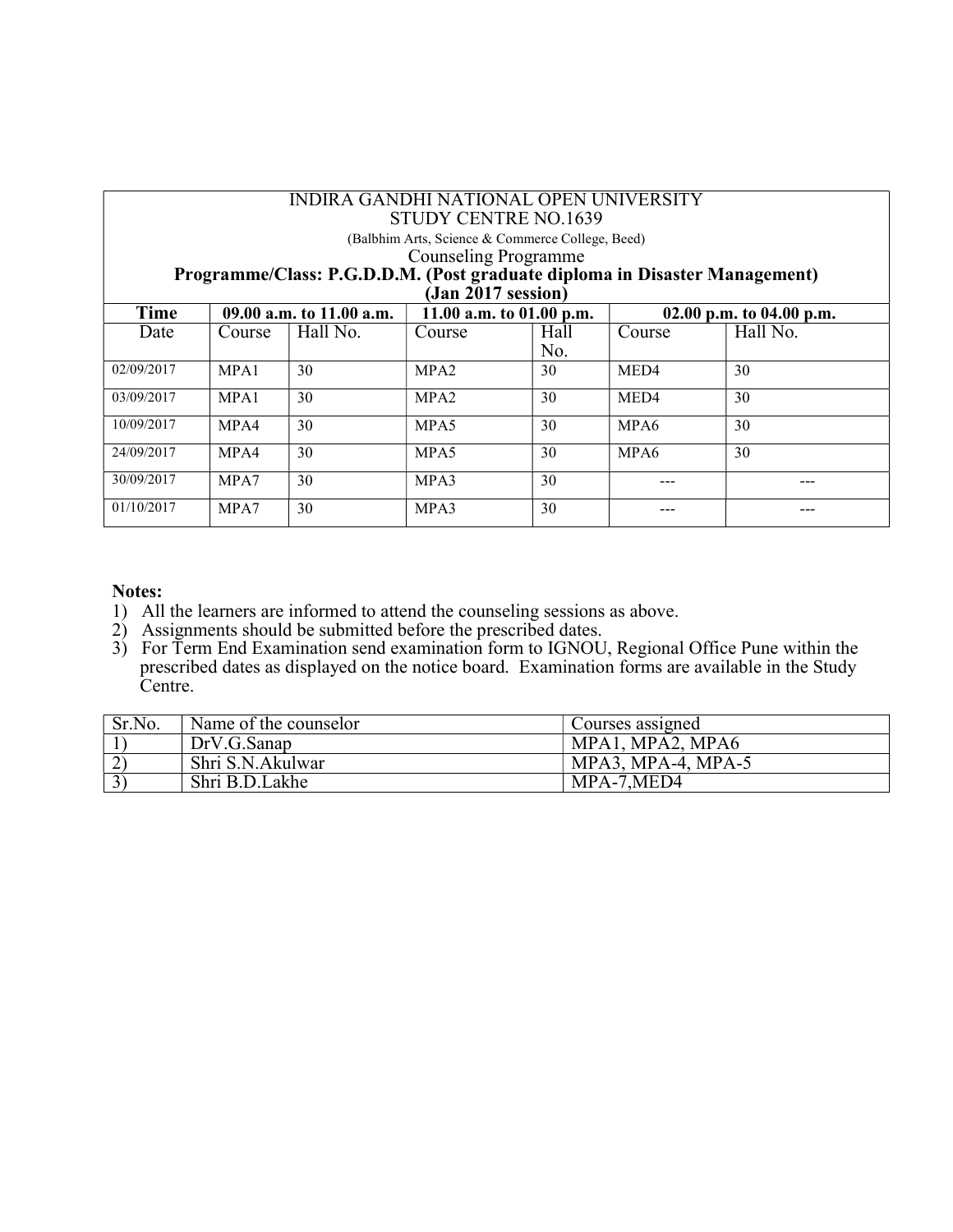| <b>INDIRA GANDHI NATIONAL OPEN UNIVERSITY</b><br>STUDY CENTRE NO.1639<br>(Balbhim Arts, Science & Commerce College, Beed)<br><b>Counseling Programme</b><br>Programme/Class: P.G.D.D.M. (Post graduate diploma in Disaster Management)<br>$(Jan 2017$ session) |        |                          |                            |             |                  |                          |
|----------------------------------------------------------------------------------------------------------------------------------------------------------------------------------------------------------------------------------------------------------------|--------|--------------------------|----------------------------|-------------|------------------|--------------------------|
| Time                                                                                                                                                                                                                                                           |        | 09.00 a.m. to 11.00 a.m. | 11.00 a.m. to $01.00$ p.m. |             |                  | 02.00 p.m. to 04.00 p.m. |
| Date                                                                                                                                                                                                                                                           | Course | Hall No.                 | Course                     | Hall<br>No. | Course           | Hall No.                 |
| 02/09/2017                                                                                                                                                                                                                                                     | MPA1   | 30                       | MPA <sub>2</sub>           | 30          | MED <sub>4</sub> | 30                       |
| 03/09/2017                                                                                                                                                                                                                                                     | MPA1   | 30                       | MPA <sub>2</sub>           | 30          | MED <sub>4</sub> | 30                       |
| 10/09/2017                                                                                                                                                                                                                                                     | MPA4   | 30                       | MPA5                       | 30          | MPA6             | 30                       |
| 24/09/2017                                                                                                                                                                                                                                                     | MPA4   | 30                       | MPA5                       | 30          | MPA6             | 30                       |
| 30/09/2017                                                                                                                                                                                                                                                     | MPA7   | 30                       | MPA3                       | 30          |                  |                          |
| 01/10/2017                                                                                                                                                                                                                                                     | MPA7   | 30                       | MPA3                       | 30          |                  |                          |

- 1) All the learners are informed to attend the counseling sessions as above.
- 2) Assignments should be submitted before the prescribed dates.
- 3) For Term End Examination send examination form to IGNOU, Regional Office Pune within the prescribed dates as displayed on the notice board. Examination forms are available in the Study Centre.

| Sr.No. | Name of the counselor | Courses assigned     |
|--------|-----------------------|----------------------|
|        | DrV.G.Sanap           | MPA1, MPA2, MPA6     |
|        | Shri S.N.Akulwar      | $MPA3, MPA-4, MPA-5$ |
|        | Shri B.D.Lakhe        | MPA-7, MED4          |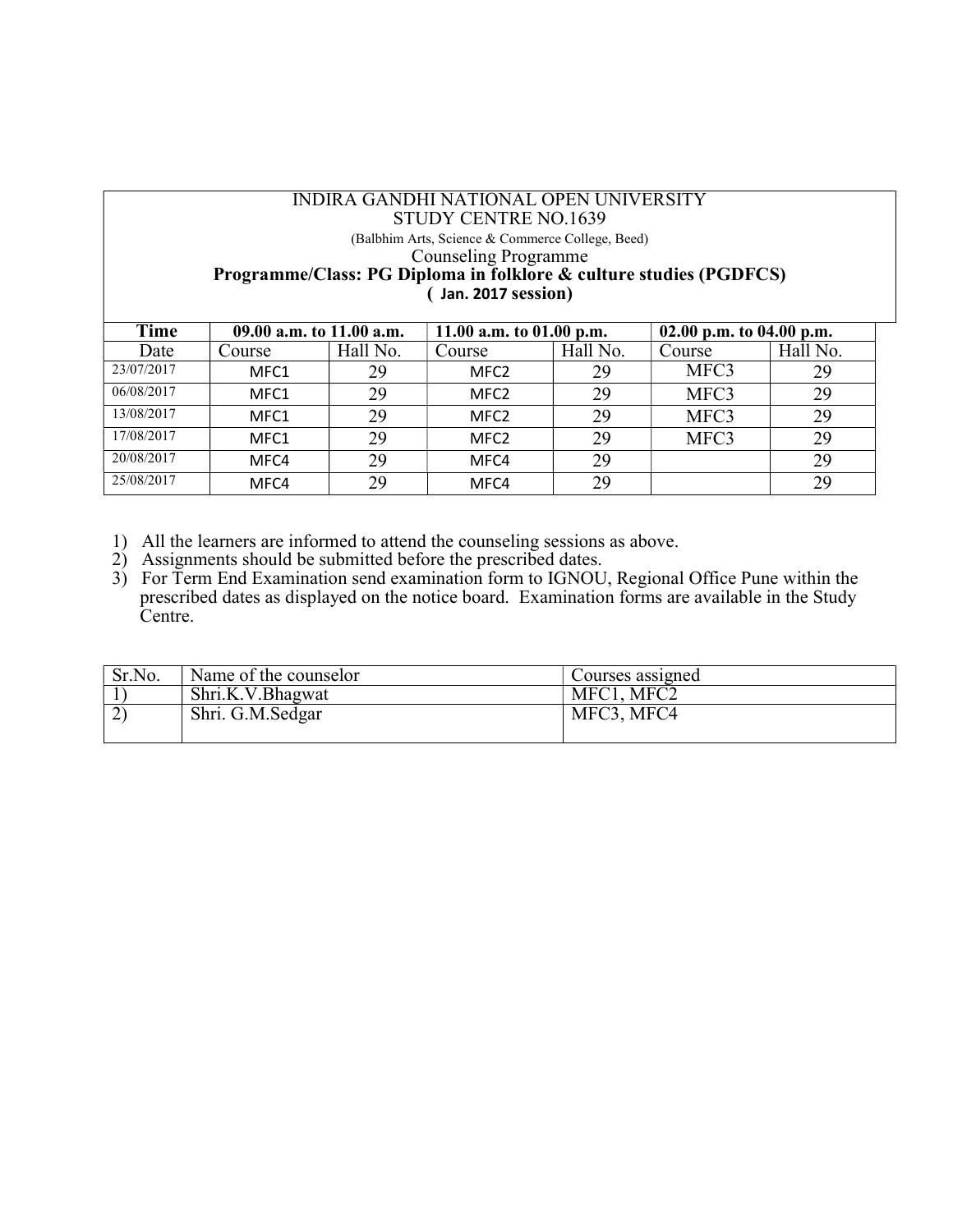#### INDIRA GANDHI NATIONAL OPEN UNIVERSITY STUDY CENTRE NO.1639 (Balbhim Arts, Science & Commerce College, Beed) Counseling Programme Programme/Class: PG Diploma in folklore & culture studies (PGDFCS) ( Jan. 2017 session)

| Time       | 09.00 a.m. to 11.00 a.m. |          | 11.00 a.m. to $01.00$ p.m. |          | 02.00 p.m. to 04.00 p.m. |          |
|------------|--------------------------|----------|----------------------------|----------|--------------------------|----------|
| Date       | Course                   | Hall No. | Course                     | Hall No. | Course                   | Hall No. |
| 23/07/2017 | MFC1                     | 29       | MFC <sub>2</sub>           | 29       | MFC3                     | 29       |
| 06/08/2017 | MFC1                     | 29       | MFC <sub>2</sub>           | 29       | MFC3                     | 29       |
| 13/08/2017 | MFC1                     | 29       | MFC <sub>2</sub>           | 29       | MFC3                     | 29       |
| 17/08/2017 | MFC1                     | 29       | MFC <sub>2</sub>           | 29       | MFC3                     | 29       |
| 20/08/2017 | MFC4                     | 29       | MFC4                       | 29       |                          | 29       |
| 25/08/2017 | MFC4                     | 29       | MFC4                       | 29       |                          | 29       |

- 1) All the learners are informed to attend the counseling sessions as above.
- 2) Assignments should be submitted before the prescribed dates.
- 3) For Term End Examination send examination form to IGNOU, Regional Office Pune within the prescribed dates as displayed on the notice board. Examination forms are available in the Study Centre.

| Sr.No. | Name of the counselor | Courses assigned |
|--------|-----------------------|------------------|
|        | Shri.K.V.Bhagwat      | MFC1, MFC2       |
|        | Shri. G.M. Sedgar     | MFC3, MFC4       |
|        |                       |                  |